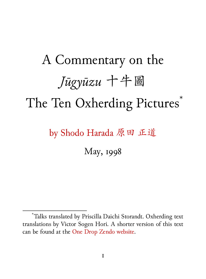# A Commentary on the *Jūgyūzu* 十牛圖 The Ten Oxherding Pictures<sup>\*</sup>

by Shodo Harada 原田 正道

May, 1998

<sup>\*</sup>Talks translated by Priscilla Daichi Storandt. Oxherding text translations by Victor Sogen Hori. A shorter version of this text can be found at the One Drop Zendo website.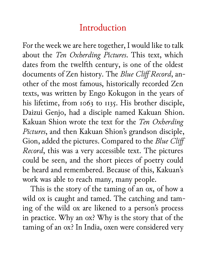### Introduction

For the week we are here together, I would like to talk about the *Ten Oxherding Pictures*. This text, which dates from the twelfth century, is one of the oldest documents of Zen history. The *Blue Cliff Record*, another of the most famous, historically recorded Zen texts, was written by Engo Kokugon in the years of his lifetime, from 1063 to 1135. His brother disciple, Daizui Genjo, had a disciple named Kakuan Shion. Kakuan Shion wrote the text for the *Ten Oxherding Pictures*, and then Kakuan Shion's grandson disciple, Gion, added the pictures. Compared to the *Blue Cliff Record*, this was a very accessible text. The pictures could be seen, and the short pieces of poetry could be heard and remembered. Because of this, Kakuan's work was able to reach many, many people.

This is the story of the taming of an ox, of how a wild ox is caught and tamed. The catching and taming of the wild ox are likened to a person's process in practice. Why an ox? Why is the story that of the taming of an ox? In India, oxen were considered very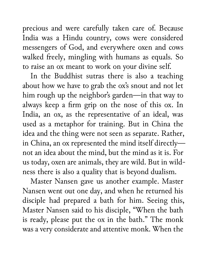precious and were carefully taken care of. Because India was a Hindu country, cows were considered messengers of God, and everywhere oxen and cows walked freely, mingling with humans as equals. So to raise an ox meant to work on your divine self.

In the Buddhist sutras there is also a teaching about how we have to grab the ox's snout and not let him rough up the neighbor's garden—in that way to always keep a firm grip on the nose of this ox. In India, an ox, as the representative of an ideal, was used as a metaphor for training. But in China the idea and the thing were not seen as separate. Rather, in China, an ox represented the mind itself directly not an idea about the mind, but the mind as it is. For us today, oxen are animals, they are wild. But in wildness there is also a quality that is beyond dualism.

Master Nansen gave us another example. Master Nansen went out one day, and when he returned his disciple had prepared a bath for him. Seeing this, Master Nansen said to his disciple, "When the bath is ready, please put the ox in the bath." The monk was a very considerate and attentive monk. When the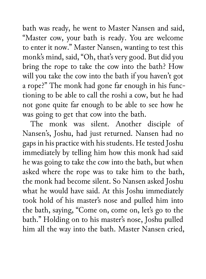bath was ready, he went to Master Nansen and said, "Master cow, your bath is ready. You are welcome to enter it now." Master Nansen, wanting to test this monk's mind, said, "Oh, that's very good. But did you bring the rope to take the cow into the bath? How will you take the cow into the bath if you haven't got a rope?" The monk had gone far enough in his functioning to be able to call the roshi a cow, but he had not gone quite far enough to be able to see how he was going to get that cow into the bath.

The monk was silent. Another disciple of Nansen's, Joshu, had just returned. Nansen had no gaps in his practice with his students. He tested Joshu immediately by telling him how this monk had said he was going to take the cow into the bath, but when asked where the rope was to take him to the bath, the monk had become silent. So Nansen asked Joshu what he would have said. At this Joshu immediately took hold of his master's nose and pulled him into the bath, saying, "Come on, come on, let's go to the bath." Holding on to his master's nose, Joshu pulled him all the way into the bath. Master Nansen cried,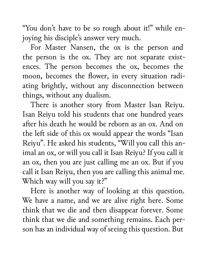"You don't have to be so rough about it!" while enjoying his disciple's answer very much.

For Master Nansen, the ox is the person and the person is the ox. They are not separate existences. The person becomes the ox, becomes the moon, becomes the flower, in every situation radiating brightly, without any disconnection between things, without any dualism.

There is another story from Master Isan Reiyu. Isan Reiyu told his students that one hundred years after his death he would be reborn as an ox. And on the left side of this ox would appear the words "Isan Reiyu". He asked his students, "Will you call this animal an ox, or will you call it Isan Reiyu? If you call it an ox, then you are just calling me an ox. But if you call it Isan Reiyu, then you are calling this animal me. Which way will you say it?"

Here is another way of looking at this question. We have a name, and we are alive right here. Some think that we die and then disappear forever. Some think that we die and something remains. Each person has an individual way of seeing this question. But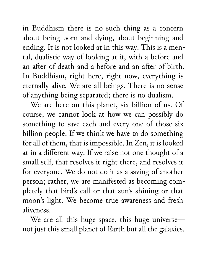in Buddhism there is no such thing as a concern about being born and dying, about beginning and ending. It is not looked at in this way. This is a mental, dualistic way of looking at it, with a before and an after of death and a before and an after of birth. In Buddhism, right here, right now, everything is eternally alive. We are all beings. There is no sense of anything being separated; there is no dualism.

We are here on this planet, six billion of us. Of course, we cannot look at how we can possibly do something to save each and every one of those six billion people. If we think we have to do something for all of them, that is impossible. In Zen, it is looked at in a different way. If we raise not one thought of a small self, that resolves it right there, and resolves it for everyone. We do not do it as a saving of another person; rather, we are manifested as becoming completely that bird's call or that sun's shining or that moon's light. We become true awareness and fresh aliveness.

We are all this huge space, this huge universe not just this small planet of Earth but all the galaxies.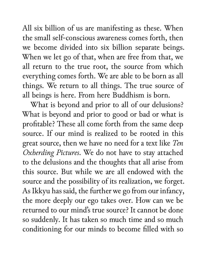All six billion of us are manifesting as these. When the small self-conscious awareness comes forth, then we become divided into six billion separate beings. When we let go of that, when are free from that, we all return to the true root, the source from which everything comes forth. We are able to be born as all things. We return to all things. The true source of all beings is here. From here Buddhism is born.

What is beyond and prior to all of our delusions? What is beyond and prior to good or bad or what is profitable? These all come forth from the same deep source. If our mind is realized to be rooted in this great source, then we have no need for a text like *Ten Oxherding Pictures*. We do not have to stay attached to the delusions and the thoughts that all arise from this source. But while we are all endowed with the source and the possibility of its realization, we forget. As Ikkyu has said, the further we go from our infancy, the more deeply our ego takes over. How can we be returned to our mind's true source? It cannot be done so suddenly. It has taken so much time and so much conditioning for our minds to become filled with so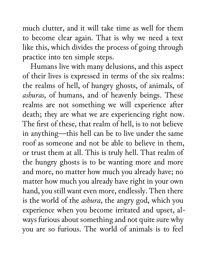much clutter, and it will take time as well for them to become clear again. That is why we need a text like this, which divides the process of going through practice into ten simple steps.

Humans live with many delusions, and this aspect of their lives is expressed in terms of the six realms: the realms of hell, of hungry ghosts, of animals, of *ashuras*, of humans, and of heavenly beings. These realms are not something we will experience after death; they are what we are experiencing right now. The first of these, that realm of hell, is to not believe in anything—this hell can be to live under the same roof as someone and not be able to believe in them, or trust them at all. This is truly hell. That realm of the hungry ghosts is to be wanting more and more and more, no matter how much you already have; no matter how much you already have right in your own hand, you still want even more, endlessly. Then there is the world of the *ashura*, the angry god, which you experience when you become irritated and upset, always furious about something and not quite sure why you are so furious. The world of animals is to feel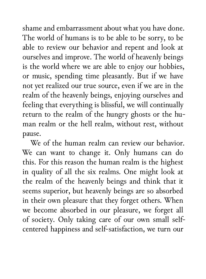shame and embarrassment about what you have done. The world of humans is to be able to be sorry, to be able to review our behavior and repent and look at ourselves and improve. The world of heavenly beings is the world where we are able to enjoy our hobbies, or music, spending time pleasantly. But if we have not yet realized our true source, even if we are in the realm of the heavenly beings, enjoying ourselves and feeling that everything is blissful, we will continually return to the realm of the hungry ghosts or the human realm or the hell realm, without rest, without pause.

We of the human realm can review our behavior. We can want to change it. Only humans can do this. For this reason the human realm is the highest in quality of all the six realms. One might look at the realm of the heavenly beings and think that it seems superior, but heavenly beings are so absorbed in their own pleasure that they forget others. When we become absorbed in our pleasure, we forget all of society. Only taking care of our own small selfcentered happiness and self-satisfaction, we turn our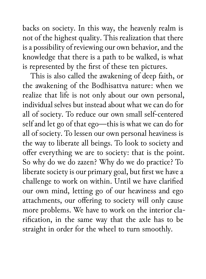backs on society. In this way, the heavenly realm is not of the highest quality. This realization that there is a possibility of reviewing our own behavior, and the knowledge that there is a path to be walked, is what is represented by the first of these ten pictures.

This is also called the awakening of deep faith, or the awakening of the Bodhisattva nature: when we realize that life is not only about our own personal, individual selves but instead about what we can do for all of society. To reduce our own small self-centered self and let go of that ego—this is what we can do for all of society. To lessen our own personal heaviness is the way to liberate all beings. To look to society and offer everything we are to society: that is the point. So why do we do zazen? Why do we do practice? To liberate society is our primary goal, but first we have a challenge to work on within. Until we have clarified our own mind, letting go of our heaviness and ego attachments, our offering to society will only cause more problems. We have to work on the interior clarification, in the same way that the axle has to be straight in order for the wheel to turn smoothly.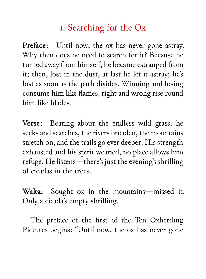## i. Searching for the Ox

Preface: Until now, the ox has never gone astray. Why then does he need to search for it? Because he turned away from himself, he became estranged from it; then, lost in the dust, at last he let it astray; he's lost as soon as the path divides. Winning and losing consume him like flames, right and wrong rise round him like blades.

**Verse:** Beating about the endless wild grass, he seeks and searches, the rivers broaden, the mountains stretch on, and the trails go ever deeper. His strength exhausted and his spirit wearied, no place allows him refuge. He listens—there's just the evening's shrilling of cicadas in the trees.

**Waka:** Sought ox in the mountains—missed it. Only a cicada's empty shrilling.

The preface of the first of the Ten Oxherding Pictures begins: "Until now, the ox has never gone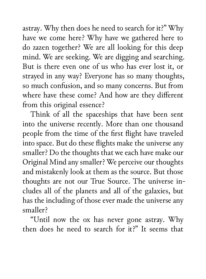astray. Why then does he need to search for it?" Why have we come here? Why have we gathered here to do zazen together? We are all looking for this deep mind. We are seeking. We are digging and searching. But is there even one of us who has ever lost it, or strayed in any way? Everyone has so many thoughts, so much confusion, and so many concerns. But from where have these come? And how are they different from this original essence?

Think of all the spaceships that have been sent into the universe recently. More than one thousand people from the time of the first flight have traveled into space. But do these flights make the universe any smaller? Do the thoughts that we each have make our Original Mind any smaller? We perceive our thoughts and mistakenly look at them as the source. But those thoughts are not our True Source. The universe includes all of the planets and all of the galaxies, but has the including of those ever made the universe any smaller?

"Until now the ox has never gone astray. Why then does he need to search for it?" It seems that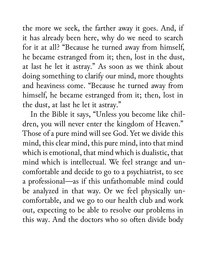the more we seek, the farther away it goes. And, if it has already been here, why do we need to search for it at all? "Because he turned away from himself, he became estranged from it; then, lost in the dust, at last he let it astray." As soon as we think about doing something to clarify our mind, more thoughts and heaviness come. "Because he turned away from himself, he became estranged from it; then, lost in the dust, at last he let it astray."

In the Bible it says, "Unless you become like children, you will never enter the kingdom of Heaven." Those of a pure mind will see God. Yet we divide this mind, this clear mind, this pure mind, into that mind which is emotional, that mind which is dualistic, that mind which is intellectual. We feel strange and uncomfortable and decide to go to a psychiatrist, to see a professional—as if this unfathomable mind could be analyzed in that way. Or we feel physically uncomfortable, and we go to our health club and work out, expecting to be able to resolve our problems in this way. And the doctors who so often divide body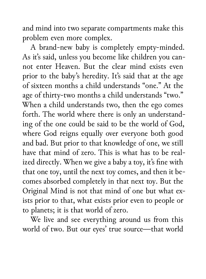and mind into two separate compartments make this problem even more complex.

A brand-new baby is completely empty-minded. As it's said, unless you become like children you cannot enter Heaven. But the clear mind exists even prior to the baby's heredity. It's said that at the age of sixteen months a child understands "one." At the age of thirty-two months a child understands "two." When a child understands two, then the ego comes forth. The world where there is only an understanding of the one could be said to be the world of God, where God reigns equally over everyone both good and bad. But prior to that knowledge of one, we still have that mind of zero. This is what has to be realized directly. When we give a baby a toy, it's fine with that one toy, until the next toy comes, and then it becomes absorbed completely in that next toy. But the Original Mind is not that mind of one but what exists prior to that, what exists prior even to people or to planets; it is that world of zero.

We live and see everything around us from this world of two. But our eyes' true source—that world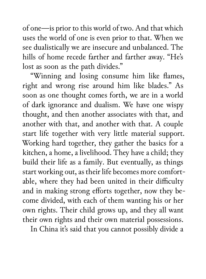of one—is prior to this world of two. And that which uses the world of one is even prior to that. When we see dualistically we are insecure and unbalanced. The hills of home recede farther and farther away. "He's lost as soon as the path divides."

"Winning and losing consume him like flames, right and wrong rise around him like blades." As soon as one thought comes forth, we are in a world of dark ignorance and dualism. We have one wispy thought, and then another associates with that, and another with that, and another with that. A couple start life together with very little material support. Working hard together, they gather the basics for a kitchen, a home, a livelihood. They have a child; they build their life as a family. But eventually, as things start working out, as their life becomes more comfortable, where they had been united in their difficulty and in making strong efforts together, now they become divided, with each of them wanting his or her own rights. Their child grows up, and they all want their own rights and their own material possessions.

In China it's said that you cannot possibly divide a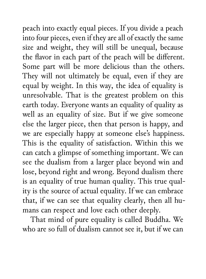peach into exactly equal pieces. If you divide a peach into four pieces, even if they are all of exactly the same size and weight, they will still be unequal, because the flavor in each part of the peach will be different. Some part will be more delicious than the others. They will not ultimately be equal, even if they are equal by weight. In this way, the idea of equality is unresolvable. That is the greatest problem on this earth today. Everyone wants an equality of quality as well as an equality of size. But if we give someone else the larger piece, then that person is happy, and we are especially happy at someone else's happiness. This is the equality of satisfaction. Within this we can catch a glimpse of something important. We can see the dualism from a larger place beyond win and lose, beyond right and wrong. Beyond dualism there is an equality of true human quality. This true quality is the source of actual equality. If we can embrace that, if we can see that equality clearly, then all humans can respect and love each other deeply.

That mind of pure equality is called Buddha. We who are so full of dualism cannot see it, but if we can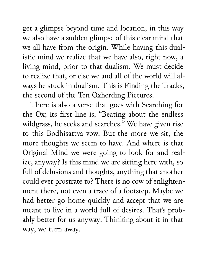get a glimpse beyond time and location, in this way we also have a sudden glimpse of this clear mind that we all have from the origin. While having this dualistic mind we realize that we have also, right now, a living mind, prior to that dualism. We must decide to realize that, or else we and all of the world will always be stuck in dualism. This is Finding the Tracks, the second of the Ten Oxherding Pictures.

There is also a verse that goes with Searching for the Ox; its first line is, "Beating about the endless wildgrass, he seeks and searches." We have given rise to this Bodhisattva vow. But the more we sit, the more thoughts we seem to have. And where is that Original Mind we were going to look for and realize, anyway? Is this mind we are sitting here with, so full of delusions and thoughts, anything that another could ever prostrate to? There is no cow of enlightenment there, not even a trace of a footstep. Maybe we had better go home quickly and accept that we are meant to live in a world full of desires. That's probably better for us anyway. Thinking about it in that way, we turn away.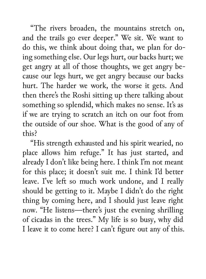"The rivers broaden, the mountains stretch on, and the trails go ever deeper." We sit. We want to do this, we think about doing that, we plan for doing something else. Our legs hurt, our backs hurt; we get angry at all of those thoughts, we get angry because our legs hurt, we get angry because our backs hurt. The harder we work, the worse it gets. And then there's the Roshi sitting up there talking about something so splendid, which makes no sense. It's as if we are trying to scratch an itch on our foot from the outside of our shoe. What is the good of any of this?

"His strength exhausted and his spirit wearied, no place allows him refuge." It has just started, and already I don't like being here. I think I'm not meant for this place; it doesn't suit me. I think I'd better leave. I've left so much work undone, and I really should be getting to it. Maybe I didn't do the right thing by coming here, and I should just leave right now. "He listens—there's just the evening shrilling of cicadas in the trees." My life is so busy, why did I leave it to come here? I can't figure out any of this.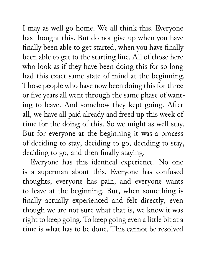I may as well go home. We all think this. Everyone has thought this. But do not give up when you have finally been able to get started, when you have finally been able to get to the starting line. All of those here who look as if they have been doing this for so long had this exact same state of mind at the beginning. Those people who have now been doing this for three or five years all went through the same phase of wanting to leave. And somehow they kept going. After all, we have all paid already and freed up this week of time for the doing of this. So we might as well stay. But for everyone at the beginning it was a process of deciding to stay, deciding to go, deciding to stay, deciding to go, and then finally staying.

Everyone has this identical experience. No one is a superman about this. Everyone has confused thoughts, everyone has pain, and everyone wants to leave at the beginning. But, when something is finally actually experienced and felt directly, even though we are not sure what that is, we know it was right to keep going. To keep going even a little bit at a time is what has to be done. This cannot be resolved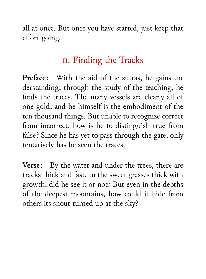all at once. But once you have started, just keep that effort going.

#### ii. Finding the Tracks

**Preface:** With the aid of the sutras, he gains understanding; through the study of the teaching, he finds the traces. The many vessels are clearly all of one gold; and he himself is the embodiment of the ten thousand things. But unable to recognize correct from incorrect, how is he to distinguish true from false? Since he has yet to pass through the gate, only tentatively has he seen the traces.

**Verse:** By the water and under the trees, there are tracks thick and fast. In the sweet grasses thick with growth, did he see it or not? But even in the depths of the deepest mountains, how could it hide from others its snout turned up at the sky?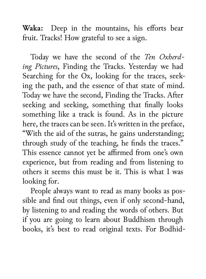**Waka:** Deep in the mountains, his efforts bear fruit. Tracks! How grateful to see a sign.

Today we have the second of the *Ten Oxherding Pictures*, Finding the Tracks. Yesterday we had Searching for the Ox, looking for the traces, seeking the path, and the essence of that state of mind. Today we have the second, Finding the Tracks. After seeking and seeking, something that finally looks something like a track is found. As in the picture here, the traces can be seen. It's written in the preface, "With the aid of the sutras, he gains understanding; through study of the teaching, he finds the traces." This essence cannot yet be affirmed from one's own experience, but from reading and from listening to others it seems this must be it. This is what I was looking for.

People always want to read as many books as possible and find out things, even if only second-hand, by listening to and reading the words of others. But if you are going to learn about Buddhism through books, it's best to read original texts. For Bodhid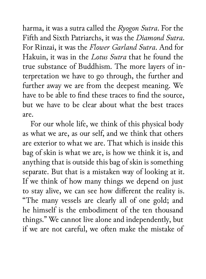harma, it was a sutra called the *Ryogon Sutra*. For the Fifth and Sixth Patriarchs, it was the *Diamond Sutra*. For Rinzai, it was the *Flower Garland Sutra*. And for Hakuin, it was in the *Lotus Sutra* that he found the true substance of Buddhism. The more layers of interpretation we have to go through, the further and further away we are from the deepest meaning. We have to be able to find these traces to find the source, but we have to be clear about what the best traces are.

For our whole life, we think of this physical body as what we are, as our self, and we think that others are exterior to what we are. That which is inside this bag of skin is what we are, is how we think it is, and anything that is outside this bag of skin is something separate. But that is a mistaken way of looking at it. If we think of how many things we depend on just to stay alive, we can see how different the reality is. "The many vessels are clearly all of one gold; and he himself is the embodiment of the ten thousand things." We cannot live alone and independently, but if we are not careful, we often make the mistake of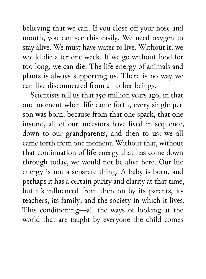believing that we can. If you close off your nose and mouth, you can see this easily. We need oxygen to stay alive. We must have water to live. Without it, we would die after one week. If we go without food for too long, we can die. The life energy of animals and plants is always supporting us. There is no way we can live disconnected from all other beings.

Scientists tell us that 350 million years ago, in that one moment when life came forth, every single person was born, because from that one spark, that one instant, all of our ancestors have lived in sequence, down to our grandparents, and then to us: we all came forth from one moment. Without that, without that continuation of life energy that has come down through today, we would not be alive here. Our life energy is not a separate thing. A baby is born, and perhaps it has a certain purity and clarity at that time, but it's influenced from then on by its parents, its teachers, its family, and the society in which it lives. This conditioning—all the ways of looking at the world that are taught by everyone the child comes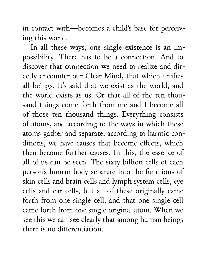in contact with—becomes a child's base for perceiving this world.

In all these ways, one single existence is an impossibility. There has to be a connection. And to discover that connection we need to realize and directly encounter our Clear Mind, that which unifies all beings. It's said that we exist as the world, and the world exists as us. Or that all of the ten thousand things come forth from me and I become all of those ten thousand things. Everything consists of atoms, and according to the ways in which these atoms gather and separate, according to karmic conditions, we have causes that become effects, which then become further causes. In this, the essence of all of us can be seen. The sixty billion cells of each person's human body separate into the functions of skin cells and brain cells and lymph system cells, eye cells and ear cells, but all of these originally came forth from one single cell, and that one single cell came forth from one single original atom. When we see this we can see clearly that among human beings there is no differentiation.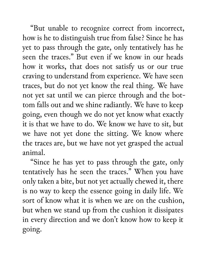"But unable to recognize correct from incorrect, how is he to distinguish true from false? Since he has yet to pass through the gate, only tentatively has he seen the traces." But even if we know in our heads how it works, that does not satisfy us or our true craving to understand from experience. We have seen traces, but do not yet know the real thing. We have not yet sat until we can pierce through and the bottom falls out and we shine radiantly. We have to keep going, even though we do not yet know what exactly it is that we have to do. We know we have to sit, but we have not yet done the sitting. We know where the traces are, but we have not yet grasped the actual animal.

"Since he has yet to pass through the gate, only tentatively has he seen the traces." When you have only taken a bite, but not yet actually chewed it, there is no way to keep the essence going in daily life. We sort of know what it is when we are on the cushion, but when we stand up from the cushion it dissipates in every direction and we don't know how to keep it going.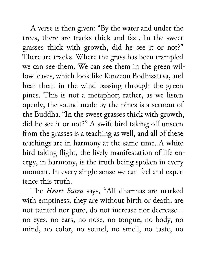A verse is then given: "By the water and under the trees, there are tracks thick and fast. In the sweet grasses thick with growth, did he see it or not?" There are tracks. Where the grass has been trampled we can see them. We can see them in the green willow leaves, which look like Kanzeon Bodhisattva, and hear them in the wind passing through the green pines. This is not a metaphor; rather, as we listen openly, the sound made by the pines is a sermon of the Buddha. "In the sweet grasses thick with growth, did he see it or not?" A swift bird taking off unseen from the grasses is a teaching as well, and all of these teachings are in harmony at the same time. A white bird taking flight, the lively manifestation of life energy, in harmony, is the truth being spoken in every moment. In every single sense we can feel and experience this truth.

The *Heart Sutra* says, "All dharmas are marked with emptiness, they are without birth or death, are not tainted nor pure, do not increase nor decrease… no eyes, no ears, no nose, no tongue, no body, no mind, no color, no sound, no smell, no taste, no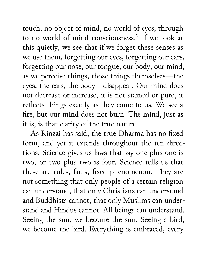touch, no object of mind, no world of eyes, through to no world of mind consciousness." If we look at this quietly, we see that if we forget these senses as we use them, forgetting our eyes, forgetting our ears, forgetting our nose, our tongue, our body, our mind, as we perceive things, those things themselves—the eyes, the ears, the body—disappear. Our mind does not decrease or increase, it is not stained or pure, it reflects things exactly as they come to us. We see a fire, but our mind does not burn. The mind, just as it is, is that clarity of the true nature.

As Rinzai has said, the true Dharma has no fixed form, and yet it extends throughout the ten directions. Science gives us laws that say one plus one is two, or two plus two is four. Science tells us that these are rules, facts, fixed phenomenon. They are not something that only people of a certain religion can understand, that only Christians can understand and Buddhists cannot, that only Muslims can understand and Hindus cannot. All beings can understand. Seeing the sun, we become the sun. Seeing a bird, we become the bird. Everything is embraced, every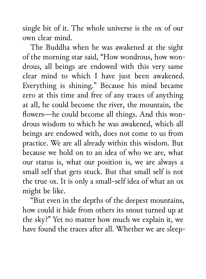single bit of it. The whole universe is the ox of our own clear mind.

The Buddha when he was awakened at the sight of the morning star said, "How wondrous, how wondrous, all beings are endowed with this very same clear mind to which I have just been awakened. Everything is shining." Because his mind became zero at this time and free of any traces of anything at all, he could become the river, the mountain, the flowers—he could become all things. And this wondrous wisdom to which he was awakened, which all beings are endowed with, does not come to us from practice. We are all already within this wisdom. But because we hold on to an idea of who we are, what our status is, what our position is, we are always a small self that gets stuck. But that small self is not the true ox. It is only a small-self idea of what an ox might be like.

"But even in the depths of the deepest mountains, how could it hide from others its snout turned up at the sky?" Yet no matter how much we explain it, we have found the traces after all. Whether we are sleep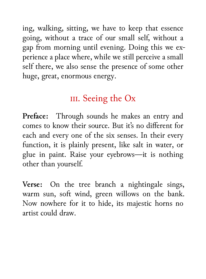ing, walking, sitting, we have to keep that essence going, without a trace of our small self, without a gap from morning until evening. Doing this we experience a place where, while we still perceive a small self there, we also sense the presence of some other huge, great, enormous energy.

## III. Seeing the  $Ox$

**Preface:** Through sounds he makes an entry and comes to know their source. But it's no different for each and every one of the six senses. In their every function, it is plainly present, like salt in water, or glue in paint. Raise your eyebrows—it is nothing other than yourself.

**Verse:** On the tree branch a nightingale sings, warm sun, soft wind, green willows on the bank. Now nowhere for it to hide, its majestic horns no artist could draw.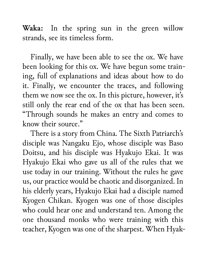**Waka:** In the spring sun in the green willow strands, see its timeless form.

Finally, we have been able to see the ox. We have been looking for this ox. We have begun some training, full of explanations and ideas about how to do it. Finally, we encounter the traces, and following them we now see the ox. In this picture, however, it's still only the rear end of the ox that has been seen. "Through sounds he makes an entry and comes to know their source."

There is a story from China. The Sixth Patriarch's disciple was Nangaku Ejo, whose disciple was Baso Doitsu, and his disciple was Hyakujo Ekai. It was Hyakujo Ekai who gave us all of the rules that we use today in our training. Without the rules he gave us, our practice would be chaotic and disorganized. In his elderly years, Hyakujo Ekai had a disciple named Kyogen Chikan. Kyogen was one of those disciples who could hear one and understand ten. Among the one thousand monks who were training with this teacher, Kyogen was one of the sharpest. When Hyak-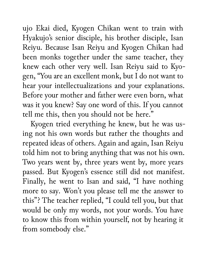ujo Ekai died, Kyogen Chikan went to train with Hyakujo's senior disciple, his brother disciple, Isan Reiyu. Because Isan Reiyu and Kyogen Chikan had been monks together under the same teacher, they knew each other very well. Isan Reiyu said to Kyogen, "You are an excellent monk, but I do not want to hear your intellectualizations and your explanations. Before your mother and father were even born, what was it you knew? Say one word of this. If you cannot tell me this, then you should not be here."

Kyogen tried everything he knew, but he was using not his own words but rather the thoughts and repeated ideas of others. Again and again, Isan Reiyu told him not to bring anything that was not his own. Two years went by, three years went by, more years passed. But Kyogen's essence still did not manifest. Finally, he went to Isan and said, "I have nothing more to say. Won't you please tell me the answer to this"? The teacher replied, "I could tell you, but that would be only my words, not your words. You have to know this from within yourself, not by hearing it from somebody else."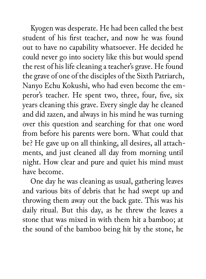Kyogen was desperate. He had been called the best student of his first teacher, and now he was found out to have no capability whatsoever. He decided he could never go into society like this but would spend the rest of his life cleaning a teacher's grave. He found the grave of one of the disciples of the Sixth Patriarch, Nanyo Echu Kokushi, who had even become the emperor's teacher. He spent two, three, four, five, six years cleaning this grave. Every single day he cleaned and did zazen, and always in his mind he was turning over this question and searching for that one word from before his parents were born. What could that be? He gave up on all thinking, all desires, all attachments, and just cleaned all day from morning until night. How clear and pure and quiet his mind must have become.

One day he was cleaning as usual, gathering leaves and various bits of debris that he had swept up and throwing them away out the back gate. This was his daily ritual. But this day, as he threw the leaves a stone that was mixed in with them hit a bamboo; at the sound of the bamboo being hit by the stone, he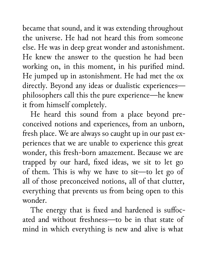became that sound, and it was extending throughout the universe. He had not heard this from someone else. He was in deep great wonder and astonishment. He knew the answer to the question he had been working on, in this moment, in his purified mind. He jumped up in astonishment. He had met the ox directly. Beyond any ideas or dualistic experiences philosophers call this the pure experience—he knew it from himself completely.

He heard this sound from a place beyond preconceived notions and experiences, from an unborn, fresh place. We are always so caught up in our past experiences that we are unable to experience this great wonder, this fresh-born amazement. Because we are trapped by our hard, fixed ideas, we sit to let go of them. This is why we have to sit—to let go of all of those preconceived notions, all of that clutter, everything that prevents us from being open to this wonder.

The energy that is fixed and hardened is suffocated and without freshness—to be in that state of mind in which everything is new and alive is what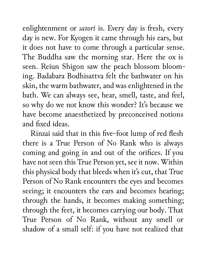enlightenment or *satori* is. Every day is fresh, every day is new. For Kyogen it came through his ears, but it does not have to come through a particular sense. The Buddha saw the morning star. Here the ox is seen. Reiun Shigon saw the peach blossom blooming. Badabara Bodhisattva felt the bathwater on his skin, the warm bathwater, and was enlightened in the bath. We can always see, hear, smell, taste, and feel, so why do we not know this wonder? It's because we have become anaesthetized by preconceived notions and fixed ideas.

Rinzai said that in this five-foot lump of red flesh there is a True Person of No Rank who is always coming and going in and out of the orifices. If you have not seen this True Person yet, see it now. Within this physical body that bleeds when it's cut, that True Person of No Rank encounters the eyes and becomes seeing; it encounters the ears and becomes hearing; through the hands, it becomes making something; through the feet, it becomes carrying our body. That True Person of No Rank, without any smell or shadow of a small self: if you have not realized that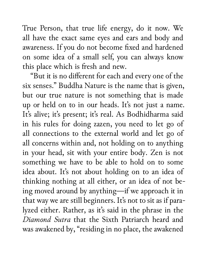True Person, that true life energy, do it now. We all have the exact same eyes and ears and body and awareness. If you do not become fixed and hardened on some idea of a small self, you can always know this place which is fresh and new.

"But it is no different for each and every one of the six senses." Buddha Nature is the name that is given, but our true nature is not something that is made up or held on to in our heads. It's not just a name. It's alive; it's present; it's real. As Bodhidharma said in his rules for doing zazen, you need to let go of all connections to the external world and let go of all concerns within and, not holding on to anything in your head, sit with your entire body. Zen is not something we have to be able to hold on to some idea about. It's not about holding on to an idea of thinking nothing at all either, or an idea of not being moved around by anything—if we approach it in that way we are still beginners. It's not to sit as if paralyzed either. Rather, as it's said in the phrase in the *Diamond Sutra* that the Sixth Patriarch heard and was awakened by, "residing in no place, the awakened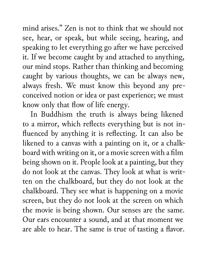mind arises." Zen is not to think that we should not see, hear, or speak, but while seeing, hearing, and speaking to let everything go after we have perceived it. If we become caught by and attached to anything, our mind stops. Rather than thinking and becoming caught by various thoughts, we can be always new, always fresh. We must know this beyond any preconceived notion or idea or past experience; we must know only that flow of life energy.

In Buddhism the truth is always being likened to a mirror, which reflects everything but is not influenced by anything it is reflecting. It can also be likened to a canvas with a painting on it, or a chalkboard with writing on it, or a movie screen with a film being shown on it. People look at a painting, but they do not look at the canvas. They look at what is written on the chalkboard, but they do not look at the chalkboard. They see what is happening on a movie screen, but they do not look at the screen on which the movie is being shown. Our senses are the same. Our ears encounter a sound, and at that moment we are able to hear. The same is true of tasting a flavor.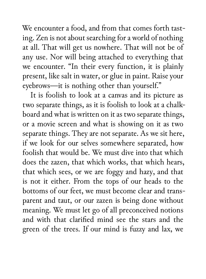We encounter a food, and from that comes forth tasting. Zen is not about searching for a world of nothing at all. That will get us nowhere. That will not be of any use. Nor will being attached to everything that we encounter. "In their every function, it is plainly present, like salt in water, or glue in paint. Raise your eyebrows—it is nothing other than yourself."

It is foolish to look at a canvas and its picture as two separate things, as it is foolish to look at a chalkboard and what is written on it as two separate things, or a movie screen and what is showing on it as two separate things. They are not separate. As we sit here, if we look for our selves somewhere separated, how foolish that would be. We must dive into that which does the zazen, that which works, that which hears, that which sees, or we are foggy and hazy, and that is not it either. From the tops of our heads to the bottoms of our feet, we must become clear and transparent and taut, or our zazen is being done without meaning. We must let go of all preconceived notions and with that clarified mind see the stars and the green of the trees. If our mind is fuzzy and lax, we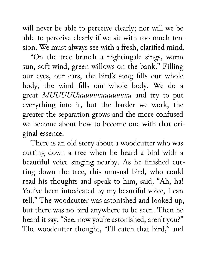will never be able to perceive clearly; nor will we be able to perceive clearly if we sit with too much tension. We must always see with a fresh, clarified mind.

"On the tree branch a nightingale sings, warm sun, soft wind, green willows on the bank." Filling our eyes, our ears, the bird's song fills our whole body, the wind fills our whole body. We do a great *MUUUUUuuuuuuuuuuuuuu* and try to put everything into it, but the harder we work, the greater the separation grows and the more confused we become about how to become one with that original essence.

There is an old story about a woodcutter who was cutting down a tree when he heard a bird with a beautiful voice singing nearby. As he finished cutting down the tree, this unusual bird, who could read his thoughts and speak to him, said, "Ah, ha! You've been intoxicated by my beautiful voice, I can tell." The woodcutter was astonished and looked up, but there was no bird anywhere to be seen. Then he heard it say, "See, now you're astonished, aren't you?" The woodcutter thought, "I'll catch that bird," and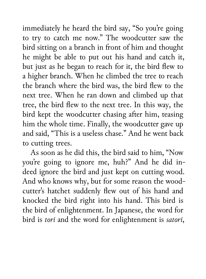immediately he heard the bird say, "So you're going to try to catch me now." The woodcutter saw the bird sitting on a branch in front of him and thought he might be able to put out his hand and catch it, but just as he began to reach for it, the bird flew to a higher branch. When he climbed the tree to reach the branch where the bird was, the bird flew to the next tree. When he ran down and climbed up that tree, the bird flew to the next tree. In this way, the bird kept the woodcutter chasing after him, teasing him the whole time. Finally, the woodcutter gave up and said, "This is a useless chase." And he went back to cutting trees.

As soon as he did this, the bird said to him, "Now you're going to ignore me, huh?" And he did indeed ignore the bird and just kept on cutting wood. And who knows why, but for some reason the woodcutter's hatchet suddenly flew out of his hand and knocked the bird right into his hand. This bird is the bird of enlightenment. In Japanese, the word for bird is *tori* and the word for enlightenment is *satori*,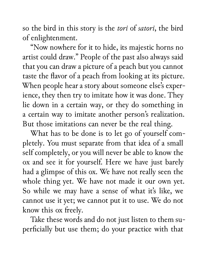so the bird in this story is the *tori* of *satori*, the bird of enlightenment.

"Now nowhere for it to hide, its majestic horns no artist could draw." People of the past also always said that you can draw a picture of a peach but you cannot taste the flavor of a peach from looking at its picture. When people hear a story about someone else's experience, they then try to imitate how it was done. They lie down in a certain way, or they do something in a certain way to imitate another person's realization. But those imitations can never be the real thing.

What has to be done is to let go of yourself completely. You must separate from that idea of a small self completely, or you will never be able to know the ox and see it for yourself. Here we have just barely had a glimpse of this ox. We have not really seen the whole thing yet. We have not made it our own yet. So while we may have a sense of what it's like, we cannot use it yet; we cannot put it to use. We do not know this ox freely.

Take these words and do not just listen to them superficially but use them; do your practice with that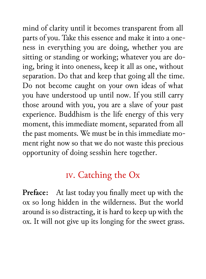mind of clarity until it becomes transparent from all parts of you. Take this essence and make it into a oneness in everything you are doing, whether you are sitting or standing or working; whatever you are doing, bring it into oneness, keep it all as one, without separation. Do that and keep that going all the time. Do not become caught on your own ideas of what you have understood up until now. If you still carry those around with you, you are a slave of your past experience. Buddhism is the life energy of this very moment, this immediate moment, separated from all the past moments. We must be in this immediate moment right now so that we do not waste this precious opportunity of doing sesshin here together.

## iv. Catching the Ox

**Preface:** At last today you finally meet up with the ox so long hidden in the wilderness. But the world around is so distracting, it is hard to keep up with the ox. It will not give up its longing for the sweet grass.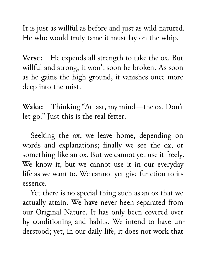It is just as willful as before and just as wild natured. He who would truly tame it must lay on the whip.

**Verse:** He expends all strength to take the ox. But willful and strong, it won't soon be broken. As soon as he gains the high ground, it vanishes once more deep into the mist.

**Waka:** Thinking "At last, my mind—the ox. Don't let go." Just this is the real fetter.

Seeking the ox, we leave home, depending on words and explanations; finally we see the ox, or something like an ox. But we cannot yet use it freely. We know it, but we cannot use it in our everyday life as we want to. We cannot yet give function to its essence.

Yet there is no special thing such as an ox that we actually attain. We have never been separated from our Original Nature. It has only been covered over by conditioning and habits. We intend to have understood; yet, in our daily life, it does not work that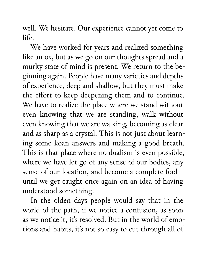well. We hesitate. Our experience cannot yet come to life.

We have worked for years and realized something like an ox, but as we go on our thoughts spread and a murky state of mind is present. We return to the beginning again. People have many varieties and depths of experience, deep and shallow, but they must make the effort to keep deepening them and to continue. We have to realize the place where we stand without even knowing that we are standing, walk without even knowing that we are walking, becoming as clear and as sharp as a crystal. This is not just about learning some koan answers and making a good breath. This is that place where no dualism is even possible, where we have let go of any sense of our bodies, any sense of our location, and become a complete fool until we get caught once again on an idea of having understood something.

In the olden days people would say that in the world of the path, if we notice a confusion, as soon as we notice it, it's resolved. But in the world of emotions and habits, it's not so easy to cut through all of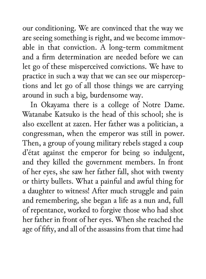our conditioning. We are convinced that the way we are seeing something is right, and we become immovable in that conviction. A long-term commitment and a firm determination are needed before we can let go of these misperceived convictions. We have to practice in such a way that we can see our misperceptions and let go of all those things we are carrying around in such a big, burdensome way.

In Okayama there is a college of Notre Dame. Watanabe Katsuko is the head of this school; she is also excellent at zazen. Her father was a politician, a congressman, when the emperor was still in power. Then, a group of young military rebels staged a coup d'état against the emperor for being so indulgent, and they killed the government members. In front of her eyes, she saw her father fall, shot with twenty or thirty bullets. What a painful and awful thing for a daughter to witness! After much struggle and pain and remembering, she began a life as a nun and, full of repentance, worked to forgive those who had shot her father in front of her eyes. When she reached the age of fifty, and all of the assassins from that time had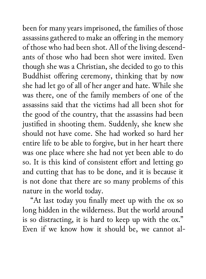been for many years imprisoned, the families of those assassins gathered to make an offering in the memory of those who had been shot. All of the living descendants of those who had been shot were invited. Even though she was a Christian, she decided to go to this Buddhist offering ceremony, thinking that by now she had let go of all of her anger and hate. While she was there, one of the family members of one of the assassins said that the victims had all been shot for the good of the country, that the assassins had been justified in shooting them. Suddenly, she knew she should not have come. She had worked so hard her entire life to be able to forgive, but in her heart there was one place where she had not yet been able to do so. It is this kind of consistent effort and letting go and cutting that has to be done, and it is because it is not done that there are so many problems of this nature in the world today.

"At last today you finally meet up with the ox so long hidden in the wilderness. But the world around is so distracting, it is hard to keep up with the ox." Even if we know how it should be, we cannot al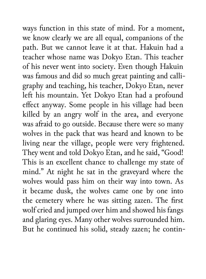ways function in this state of mind. For a moment, we know clearly we are all equal, companions of the path. But we cannot leave it at that. Hakuin had a teacher whose name was Dokyo Etan. This teacher of his never went into society. Even though Hakuin was famous and did so much great painting and calligraphy and teaching, his teacher, Dokyo Etan, never left his mountain. Yet Dokyo Etan had a profound effect anyway. Some people in his village had been killed by an angry wolf in the area, and everyone was afraid to go outside. Because there were so many wolves in the pack that was heard and known to be living near the village, people were very frightened. They went and told Dokyo Etan, and he said, "Good! This is an excellent chance to challenge my state of mind." At night he sat in the graveyard where the wolves would pass him on their way into town. As it became dusk, the wolves came one by one into the cemetery where he was sitting zazen. The first wolf cried and jumped over him and showed his fangs and glaring eyes. Many other wolves surrounded him. But he continued his solid, steady zazen; he contin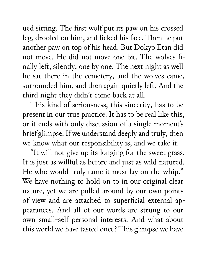ued sitting. The first wolf put its paw on his crossed leg, drooled on him, and licked his face. Then he put another paw on top of his head. But Dokyo Etan did not move. He did not move one bit. The wolves finally left, silently, one by one. The next night as well he sat there in the cemetery, and the wolves came, surrounded him, and then again quietly left. And the third night they didn't come back at all.

This kind of seriousness, this sincerity, has to be present in our true practice. It has to be real like this, or it ends with only discussion of a single moment's brief glimpse. If we understand deeply and truly, then we know what our responsibility is, and we take it.

"It will not give up its longing for the sweet grass. It is just as willful as before and just as wild natured. He who would truly tame it must lay on the whip." We have nothing to hold on to in our original clear nature, yet we are pulled around by our own points of view and are attached to superficial external appearances. And all of our words are strung to our own small-self personal interests. And what about this world we have tasted once? This glimpse we have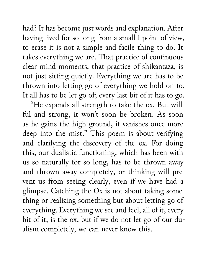had? It has become just words and explanation. After having lived for so long from a small I point of view, to erase it is not a simple and facile thing to do. It takes everything we are. That practice of continuous clear mind moments, that practice of shikantaza, is not just sitting quietly. Everything we are has to be thrown into letting go of everything we hold on to. It all has to be let go of; every last bit of it has to go.

"He expends all strength to take the ox. But willful and strong, it won't soon be broken. As soon as he gains the high ground, it vanishes once more deep into the mist." This poem is about verifying and clarifying the discovery of the ox. For doing this, our dualistic functioning, which has been with us so naturally for so long, has to be thrown away and thrown away completely, or thinking will prevent us from seeing clearly, even if we have had a glimpse. Catching the Ox is not about taking something or realizing something but about letting go of everything. Everything we see and feel, all of it, every bit of it, is the ox, but if we do not let go of our dualism completely, we can never know this.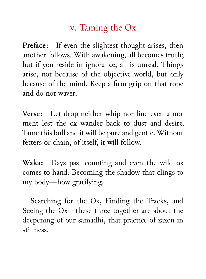## v. Taming the Ox

**Preface:** If even the slightest thought arises, then another follows. With awakening, all becomes truth; but if you reside in ignorance, all is unreal. Things arise, not because of the objective world, but only because of the mind. Keep a firm grip on that rope and do not waver.

**Verse:** Let drop neither whip nor line even a moment lest the ox wander back to dust and desire. Tame this bull and it will be pure and gentle. Without fetters or chain, of itself, it will follow.

**Waka:** Days past counting and even the wild ox comes to hand. Becoming the shadow that clings to my body—how gratifying.

Searching for the Ox, Finding the Tracks, and Seeing the Ox—these three together are about the deepening of our samadhi, that practice of zazen in stillness.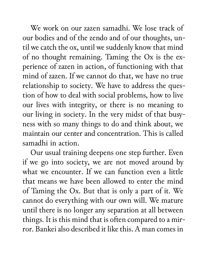We work on our zazen samadhi. We lose track of our bodies and of the zendo and of our thoughts, until we catch the ox, until we suddenly know that mind of no thought remaining. Taming the Ox is the experience of zazen in action, of functioning with that mind of zazen. If we cannot do that, we have no true relationship to society. We have to address the question of how to deal with social problems, how to live our lives with integrity, or there is no meaning to our living in society. In the very midst of that busyness with so many things to do and think about, we maintain our center and concentration. This is called samadhi in action.

Our usual training deepens one step further. Even if we go into society, we are not moved around by what we encounter. If we can function even a little that means we have been allowed to enter the mind of Taming the Ox. But that is only a part of it. We cannot do everything with our own will. We mature until there is no longer any separation at all between things. It is this mind that is often compared to a mirror. Bankei also described it like this. A man comes in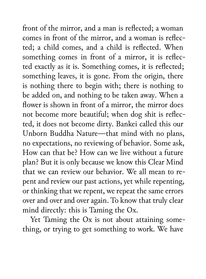front of the mirror, and a man is reflected; a woman comes in front of the mirror, and a woman is reflected; a child comes, and a child is reflected. When something comes in front of a mirror, it is reflected exactly as it is. Something comes, it is reflected; something leaves, it is gone. From the origin, there is nothing there to begin with; there is nothing to be added on, and nothing to be taken away. When a flower is shown in front of a mirror, the mirror does not become more beautiful; when dog shit is reflected, it does not become dirty. Bankei called this our Unborn Buddha Nature—that mind with no plans, no expectations, no reviewing of behavior. Some ask, How can that be? How can we live without a future plan? But it is only because we know this Clear Mind that we can review our behavior. We all mean to repent and review our past actions, yet while repenting, or thinking that we repent, we repeat the same errors over and over and over again. To know that truly clear mind directly: this is Taming the Ox.

Yet Taming the Ox is not about attaining something, or trying to get something to work. We have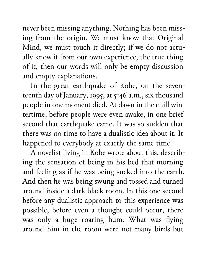never been missing anything. Nothing has been missing from the origin. We must know that Original Mind, we must touch it directly; if we do not actually know it from our own experience, the true thing of it, then our words will only be empty discussion and empty explanations.

In the great earthquake of Kobe, on the seventeenth day of January, 1995, at 5:46 a.m., six thousand people in one moment died. At dawn in the chill wintertime, before people were even awake, in one brief second that earthquake came. It was so sudden that there was no time to have a dualistic idea about it. It happened to everybody at exactly the same time.

A novelist living in Kobe wrote about this, describing the sensation of being in his bed that morning and feeling as if he was being sucked into the earth. And then he was being swung and tossed and turned around inside a dark black room. In this one second before any dualistic approach to this experience was possible, before even a thought could occur, there was only a huge roaring hum. What was flying around him in the room were not many birds but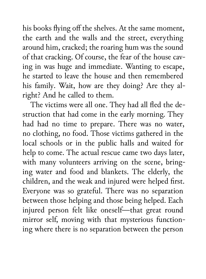his books flying off the shelves. At the same moment, the earth and the walls and the street, everything around him, cracked; the roaring hum was the sound of that cracking. Of course, the fear of the house caving in was huge and immediate. Wanting to escape, he started to leave the house and then remembered his family. Wait, how are they doing? Are they alright? And he called to them.

The victims were all one. They had all fled the destruction that had come in the early morning. They had had no time to prepare. There was no water, no clothing, no food. Those victims gathered in the local schools or in the public halls and waited for help to come. The actual rescue came two days later, with many volunteers arriving on the scene, bringing water and food and blankets. The elderly, the children, and the weak and injured were helped first. Everyone was so grateful. There was no separation between those helping and those being helped. Each injured person felt like oneself—that great round mirror self, moving with that mysterious functioning where there is no separation between the person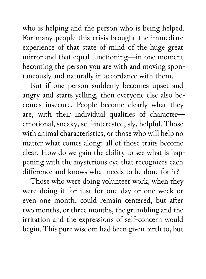who is helping and the person who is being helped. For many people this crisis brought the immediate experience of that state of mind of the huge great mirror and that equal functioning—in one moment becoming the person you are with and moving spontaneously and naturally in accordance with them.

But if one person suddenly becomes upset and angry and starts yelling, then everyone else also becomes insecure. People become clearly what they are, with their individual qualities of character emotional, sneaky, self-interested, sly, helpful. Those with animal characteristics, or those who will help no matter what comes along: all of those traits become clear. How do we gain the ability to see what is happening with the mysterious eye that recognizes each difference and knows what needs to be done for it?

Those who were doing volunteer work, when they were doing it for just for one day or one week or even one month, could remain centered, but after two months, or three months, the grumbling and the irritation and the expressions of self-concern would begin. This pure wisdom had been given birth to, but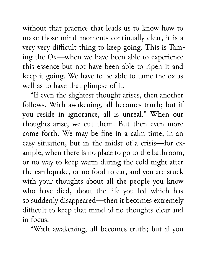without that practice that leads us to know how to make those mind-moments continually clear, it is a very very difficult thing to keep going. This is Taming the Ox—when we have been able to experience this essence but not have been able to ripen it and keep it going. We have to be able to tame the ox as well as to have that glimpse of it.

"If even the slightest thought arises, then another follows. With awakening, all becomes truth; but if you reside in ignorance, all is unreal." When our thoughts arise, we cut them. But then even more come forth. We may be fine in a calm time, in an easy situation, but in the midst of a crisis—for example, when there is no place to go to the bathroom, or no way to keep warm during the cold night after the earthquake, or no food to eat, and you are stuck with your thoughts about all the people you know who have died, about the life you led which has so suddenly disappeared—then it becomes extremely difficult to keep that mind of no thoughts clear and in focus.

"With awakening, all becomes truth; but if you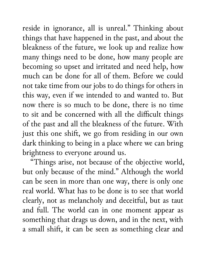reside in ignorance, all is unreal." Thinking about things that have happened in the past, and about the bleakness of the future, we look up and realize how many things need to be done, how many people are becoming so upset and irritated and need help, how much can be done for all of them. Before we could not take time from our jobs to do things for others in this way, even if we intended to and wanted to. But now there is so much to be done, there is no time to sit and be concerned with all the difficult things of the past and all the bleakness of the future. With just this one shift, we go from residing in our own dark thinking to being in a place where we can bring brightness to everyone around us.

"Things arise, not because of the objective world, but only because of the mind." Although the world can be seen in more than one way, there is only one real world. What has to be done is to see that world clearly, not as melancholy and deceitful, but as taut and full. The world can in one moment appear as something that drags us down, and in the next, with a small shift, it can be seen as something clear and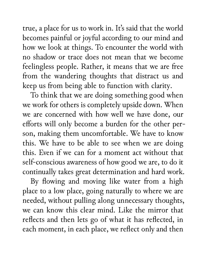true, a place for us to work in. It's said that the world becomes painful or joyful according to our mind and how we look at things. To encounter the world with no shadow or trace does not mean that we become feelingless people. Rather, it means that we are free from the wandering thoughts that distract us and keep us from being able to function with clarity.

To think that we are doing something good when we work for others is completely upside down. When we are concerned with how well we have done, our efforts will only become a burden for the other person, making them uncomfortable. We have to know this. We have to be able to see when we are doing this. Even if we can for a moment act without that self-conscious awareness of how good we are, to do it continually takes great determination and hard work.

By flowing and moving like water from a high place to a low place, going naturally to where we are needed, without pulling along unnecessary thoughts, we can know this clear mind. Like the mirror that reflects and then lets go of what it has reflected, in each moment, in each place, we reflect only and then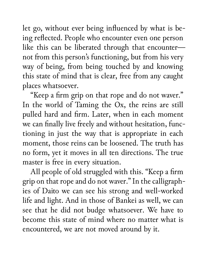let go, without ever being influenced by what is being reflected. People who encounter even one person like this can be liberated through that encounter not from this person's functioning, but from his very way of being, from being touched by and knowing this state of mind that is clear, free from any caught places whatsoever.

"Keep a firm grip on that rope and do not waver." In the world of Taming the Ox, the reins are still pulled hard and firm. Later, when in each moment we can finally live freely and without hesitation, functioning in just the way that is appropriate in each moment, those reins can be loosened. The truth has no form, yet it moves in all ten directions. The true master is free in every situation.

All people of old struggled with this. "Keep a firm grip on that rope and do not waver." In the calligraphies of Daito we can see his strong and well-worked life and light. And in those of Bankei as well, we can see that he did not budge whatsoever. We have to become this state of mind where no matter what is encountered, we are not moved around by it.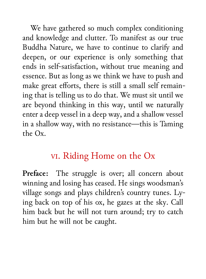We have gathered so much complex conditioning and knowledge and clutter. To manifest as our true Buddha Nature, we have to continue to clarify and deepen, or our experience is only something that ends in self-satisfaction, without true meaning and essence. But as long as we think we have to push and make great efforts, there is still a small self remaining that is telling us to do that. We must sit until we are beyond thinking in this way, until we naturally enter a deep vessel in a deep way, and a shallow vessel in a shallow way, with no resistance—this is Taming the Ox.

## vi. Riding Home on the Ox

Preface: The struggle is over; all concern about winning and losing has ceased. He sings woodsman's village songs and plays children's country tunes. Lying back on top of his ox, he gazes at the sky. Call him back but he will not turn around; try to catch him but he will not be caught.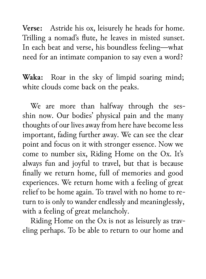**Verse:** Astride his ox, leisurely he heads for home. Trilling a nomad's flute, he leaves in misted sunset. In each beat and verse, his boundless feeling—what need for an intimate companion to say even a word?

**Waka:** Roar in the sky of limpid soaring mind; white clouds come back on the peaks.

We are more than halfway through the sesshin now. Our bodies' physical pain and the many thoughts of our lives away from here have become less important, fading further away. We can see the clear point and focus on it with stronger essence. Now we come to number six, Riding Home on the Ox. It's always fun and joyful to travel, but that is because finally we return home, full of memories and good experiences. We return home with a feeling of great relief to be home again. To travel with no home to return to is only to wander endlessly and meaninglessly, with a feeling of great melancholy.

Riding Home on the Ox is not as leisurely as traveling perhaps. To be able to return to our home and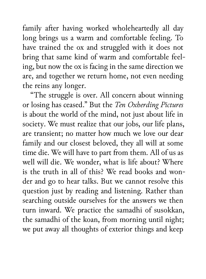family after having worked wholeheartedly all day long brings us a warm and comfortable feeling. To have trained the ox and struggled with it does not bring that same kind of warm and comfortable feeling, but now the ox is facing in the same direction we are, and together we return home, not even needing the reins any longer.

"The struggle is over. All concern about winning or losing has ceased." But the *Ten Oxherding Pictures* is about the world of the mind, not just about life in society. We must realize that our jobs, our life plans, are transient; no matter how much we love our dear family and our closest beloved, they all will at some time die. We will have to part from them. All of us as well will die. We wonder, what is life about? Where is the truth in all of this? We read books and wonder and go to hear talks. But we cannot resolve this question just by reading and listening. Rather than searching outside ourselves for the answers we then turn inward. We practice the samadhi of susokkan, the samadhi of the koan, from morning until night; we put away all thoughts of exterior things and keep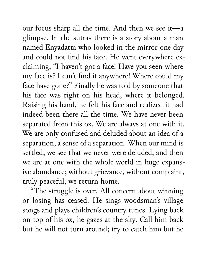our focus sharp all the time. And then we see it—a glimpse. In the sutras there is a story about a man named Enyadatta who looked in the mirror one day and could not find his face. He went everywhere exclaiming, "I haven't got a face! Have you seen where my face is? I can't find it anywhere! Where could my face have gone?" Finally he was told by someone that his face was right on his head, where it belonged. Raising his hand, he felt his face and realized it had indeed been there all the time. We have never been separated from this ox. We are always at one with it. We are only confused and deluded about an idea of a separation, a sense of a separation. When our mind is settled, we see that we never were deluded, and then we are at one with the whole world in huge expansive abundance; without grievance, without complaint, truly peaceful, we return home.

"The struggle is over. All concern about winning or losing has ceased. He sings woodsman's village songs and plays children's country tunes. Lying back on top of his ox, he gazes at the sky. Call him back but he will not turn around; try to catch him but he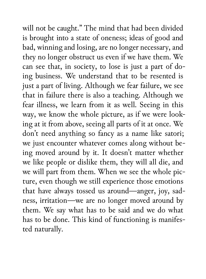will not be caught." The mind that had been divided is brought into a state of oneness; ideas of good and bad, winning and losing, are no longer necessary, and they no longer obstruct us even if we have them. We can see that, in society, to lose is just a part of doing business. We understand that to be resented is just a part of living. Although we fear failure, we see that in failure there is also a teaching. Although we fear illness, we learn from it as well. Seeing in this way, we know the whole picture, as if we were looking at it from above, seeing all parts of it at once. We don't need anything so fancy as a name like satori; we just encounter whatever comes along without being moved around by it. It doesn't matter whether we like people or dislike them, they will all die, and we will part from them. When we see the whole picture, even though we still experience those emotions that have always tossed us around—anger, joy, sadness, irritation—we are no longer moved around by them. We say what has to be said and we do what has to be done. This kind of functioning is manifested naturally.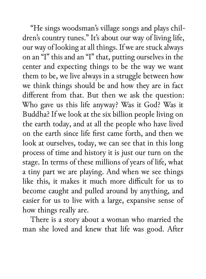"He sings woodsman's village songs and plays children's country tunes." It's about our way of living life, our way of looking at all things. If we are stuck always on an "I" this and an "I" that, putting ourselves in the center and expecting things to be the way we want them to be, we live always in a struggle between how we think things should be and how they are in fact different from that. But then we ask the question: Who gave us this life anyway? Was it God? Was it Buddha? If we look at the six billion people living on the earth today, and at all the people who have lived on the earth since life first came forth, and then we look at ourselves, today, we can see that in this long process of time and history it is just our turn on the stage. In terms of these millions of years of life, what a tiny part we are playing. And when we see things like this, it makes it much more difficult for us to become caught and pulled around by anything, and easier for us to live with a large, expansive sense of how things really are.

There is a story about a woman who married the man she loved and knew that life was good. After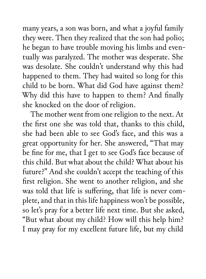many years, a son was born, and what a joyful family they were. Then they realized that the son had polio; he began to have trouble moving his limbs and eventually was paralyzed. The mother was desperate. She was desolate. She couldn't understand why this had happened to them. They had waited so long for this child to be born. What did God have against them? Why did this have to happen to them? And finally she knocked on the door of religion.

The mother went from one religion to the next. At the first one she was told that, thanks to this child, she had been able to see God's face, and this was a great opportunity for her. She answered, "That may be fine for me, that I get to see God's face because of this child. But what about the child? What about his future?" And she couldn't accept the teaching of this first religion. She went to another religion, and she was told that life is suffering, that life is never complete, and that in this life happiness won't be possible, so let's pray for a better life next time. But she asked, "But what about my child? How will this help him? I may pray for my excellent future life, but my child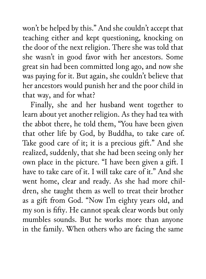won't be helped by this." And she couldn't accept that teaching either and kept questioning, knocking on the door of the next religion. There she was told that she wasn't in good favor with her ancestors. Some great sin had been committed long ago, and now she was paying for it. But again, she couldn't believe that her ancestors would punish her and the poor child in that way, and for what?

Finally, she and her husband went together to learn about yet another religion. As they had tea with the abbot there, he told them, "You have been given that other life by God, by Buddha, to take care of. Take good care of it; it is a precious gift." And she realized, suddenly, that she had been seeing only her own place in the picture. "I have been given a gift. I have to take care of it. I will take care of it." And she went home, clear and ready. As she had more children, she taught them as well to treat their brother as a gift from God. "Now I'm eighty years old, and my son is fifty. He cannot speak clear words but only mumbles sounds. But he works more than anyone in the family. When others who are facing the same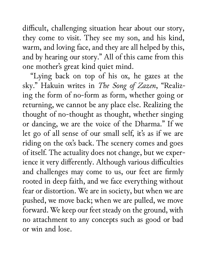difficult, challenging situation hear about our story, they come to visit. They see my son, and his kind, warm, and loving face, and they are all helped by this, and by hearing our story." All of this came from this one mother's great kind quiet mind.

"Lying back on top of his ox, he gazes at the sky." Hakuin writes in *The Song of Zazen*, "Realizing the form of no-form as form, whether going or returning, we cannot be any place else. Realizing the thought of no-thought as thought, whether singing or dancing, we are the voice of the Dharma." If we let go of all sense of our small self, it's as if we are riding on the ox's back. The scenery comes and goes of itself. The actuality does not change, but we experience it very differently. Although various difficulties and challenges may come to us, our feet are firmly rooted in deep faith, and we face everything without fear or distortion. We are in society, but when we are pushed, we move back; when we are pulled, we move forward. We keep our feet steady on the ground, with no attachment to any concepts such as good or bad or win and lose.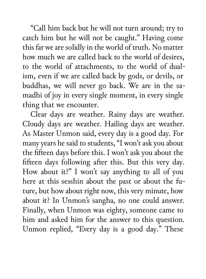"Call him back but he will not turn around; try to catch him but he will not be caught." Having come this far we are solidly in the world of truth. No matter how much we are called back to the world of desires, to the world of attachments, to the world of dualism, even if we are called back by gods, or devils, or buddhas, we will never go back. We are in the samadhi of joy in every single moment, in every single thing that we encounter.

Clear days are weather. Rainy days are weather. Cloudy days are weather. Hailing days are weather. As Master Unmon said, every day is a good day. For many years he said to students, "I won't ask you about the fifteen days before this. I won't ask you about the fifteen days following after this. But this very day. How about it?" I won't say anything to all of you here at this sesshin about the past or about the future, but how about right now, this very minute, how about it? In Unmon's sangha, no one could answer. Finally, when Unmon was eighty, someone came to him and asked him for the answer to this question. Unmon replied, "Every day is a good day." These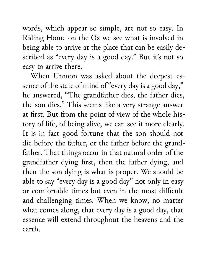words, which appear so simple, are not so easy. In Riding Home on the Ox we see what is involved in being able to arrive at the place that can be easily described as "every day is a good day." But it's not so easy to arrive there.

When Unmon was asked about the deepest essence of the state of mind of "every day is a good day," he answered, "The grandfather dies, the father dies, the son dies." This seems like a very strange answer at first. But from the point of view of the whole history of life, of being alive, we can see it more clearly. It is in fact good fortune that the son should not die before the father, or the father before the grandfather. That things occur in that natural order of the grandfather dying first, then the father dying, and then the son dying is what is proper. We should be able to say "every day is a good day" not only in easy or comfortable times but even in the most difficult and challenging times. When we know, no matter what comes along, that every day is a good day, that essence will extend throughout the heavens and the earth.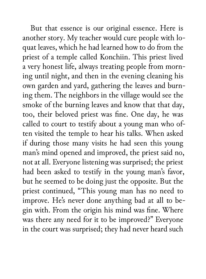But that essence is our original essence. Here is another story. My teacher would cure people with loquat leaves, which he had learned how to do from the priest of a temple called Konchiin. This priest lived a very honest life, always treating people from morning until night, and then in the evening cleaning his own garden and yard, gathering the leaves and burning them. The neighbors in the village would see the smoke of the burning leaves and know that that day, too, their beloved priest was fine. One day, he was called to court to testify about a young man who often visited the temple to hear his talks. When asked if during those many visits he had seen this young man's mind opened and improved, the priest said no, not at all. Everyone listening was surprised; the priest had been asked to testify in the young man's favor, but he seemed to be doing just the opposite. But the priest continued, "This young man has no need to improve. He's never done anything bad at all to begin with. From the origin his mind was fine. Where was there any need for it to be improved?" Everyone in the court was surprised; they had never heard such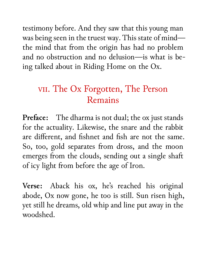testimony before. And they saw that this young man was being seen in the truest way. This state of mind the mind that from the origin has had no problem and no obstruction and no delusion—is what is being talked about in Riding Home on the Ox.

## vii. The Ox Forgotten, The Person Remains

**Preface:** The dharma is not dual; the ox just stands for the actuality. Likewise, the snare and the rabbit are different, and fishnet and fish are not the same. So, too, gold separates from dross, and the moon emerges from the clouds, sending out a single shaft of icy light from before the age of Iron.

**Verse:** Aback his ox, he's reached his original abode, Ox now gone, he too is still. Sun risen high, yet still he dreams, old whip and line put away in the woodshed.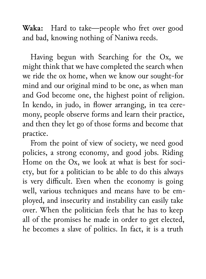**Waka:** Hard to take—people who fret over good and bad, knowing nothing of Naniwa reeds.

Having begun with Searching for the Ox, we might think that we have completed the search when we ride the ox home, when we know our sought-for mind and our original mind to be one, as when man and God become one, the highest point of religion. In kendo, in judo, in flower arranging, in tea ceremony, people observe forms and learn their practice, and then they let go of those forms and become that practice.

From the point of view of society, we need good policies, a strong economy, and good jobs. Riding Home on the Ox, we look at what is best for society, but for a politician to be able to do this always is very difficult. Even when the economy is going well, various techniques and means have to be employed, and insecurity and instability can easily take over. When the politician feels that he has to keep all of the promises he made in order to get elected, he becomes a slave of politics. In fact, it is a truth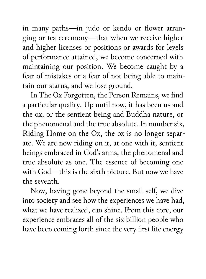in many paths—in judo or kendo or flower arranging or tea ceremony—that when we receive higher and higher licenses or positions or awards for levels of performance attained, we become concerned with maintaining our position. We become caught by a fear of mistakes or a fear of not being able to maintain our status, and we lose ground.

In The Ox Forgotten, the Person Remains, we find a particular quality. Up until now, it has been us and the ox, or the sentient being and Buddha nature, or the phenomenal and the true absolute. In number six, Riding Home on the Ox, the ox is no longer separate. We are now riding on it, at one with it, sentient beings embraced in God's arms, the phenomenal and true absolute as one. The essence of becoming one with God—this is the sixth picture. But now we have the seventh.

Now, having gone beyond the small self, we dive into society and see how the experiences we have had, what we have realized, can shine. From this core, our experience embraces all of the six billion people who have been coming forth since the very first life energy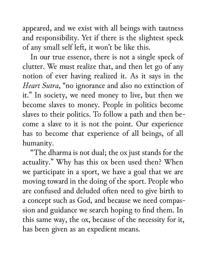appeared, and we exist with all beings with tautness and responsibility. Yet if there is the slightest speck of any small self left, it won't be like this.

In our true essence, there is not a single speck of clutter. We must realize that, and then let go of any notion of ever having realized it. As it says in the *Heart Sutra*, "no ignorance and also no extinction of it." In society, we need money to live, but then we become slaves to money. People in politics become slaves to their politics. To follow a path and then become a slave to it is not the point. Our experience has to become that experience of all beings, of all humanity.

"The dharma is not dual; the ox just stands for the actuality." Why has this ox been used then? When we participate in a sport, we have a goal that we are moving toward in the doing of the sport. People who are confused and deluded often need to give birth to a concept such as God, and because we need compassion and guidance we search hoping to find them. In this same way, the ox, because of the necessity for it, has been given as an expedient means.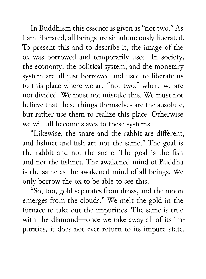In Buddhism this essence is given as "not two." As I am liberated, all beings are simultaneously liberated. To present this and to describe it, the image of the ox was borrowed and temporarily used. In society, the economy, the political system, and the monetary system are all just borrowed and used to liberate us to this place where we are "not two," where we are not divided. We must not mistake this. We must not believe that these things themselves are the absolute, but rather use them to realize this place. Otherwise we will all become slaves to these systems.

"Likewise, the snare and the rabbit are different, and fishnet and fish are not the same." The goal is the rabbit and not the snare. The goal is the fish and not the fishnet. The awakened mind of Buddha is the same as the awakened mind of all beings. We only borrow the ox to be able to see this.

"So, too, gold separates from dross, and the moon emerges from the clouds." We melt the gold in the furnace to take out the impurities. The same is true with the diamond—once we take away all of its impurities, it does not ever return to its impure state.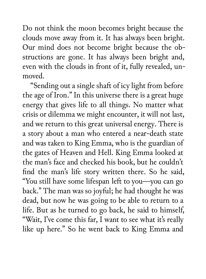Do not think the moon becomes bright because the clouds move away from it. It has always been bright. Our mind does not become bright because the obstructions are gone. It has always been bright and, even with the clouds in front of it, fully revealed, unmoved.

"Sending out a single shaft of icy light from before the age of Iron." In this universe there is a great huge energy that gives life to all things. No matter what crisis or dilemma we might encounter, it will not last, and we return to this great universal energy. There is a story about a man who entered a near-death state and was taken to King Emma, who is the guardian of the gates of Heaven and Hell. King Emma looked at the man's face and checked his book, but he couldn't find the man's life story written there. So he said, "You still have some lifespan left to you—you can go back." The man was so joyful; he had thought he was dead, but now he was going to be able to return to a life. But as he turned to go back, he said to himself, "Wait, I've come this far, I want to see what it's really like up here." So he went back to King Emma and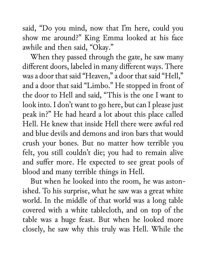said, "Do you mind, now that I'm here, could you show me around?" King Emma looked at his face awhile and then said, "Okay."

When they passed through the gate, he saw many different doors, labeled in many different ways. There was a door that said "Heaven," a door that said "Hell," and a door that said "Limbo." He stopped in front of the door to Hell and said, "This is the one I want to look into. I don't want to go here, but can I please just peak in?" He had heard a lot about this place called Hell. He knew that inside Hell there were awful red and blue devils and demons and iron bars that would crush your bones. But no matter how terrible you felt, you still couldn't die; you had to remain alive and suffer more. He expected to see great pools of blood and many terrible things in Hell.

But when he looked into the room, he was astonished. To his surprise, what he saw was a great white world. In the middle of that world was a long table covered with a white tablecloth, and on top of the table was a huge feast. But when he looked more closely, he saw why this truly was Hell. While the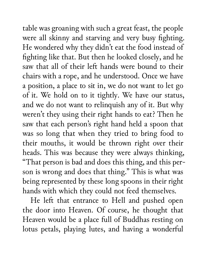table was groaning with such a great feast, the people were all skinny and starving and very busy fighting. He wondered why they didn't eat the food instead of fighting like that. But then he looked closely, and he saw that all of their left hands were bound to their chairs with a rope, and he understood. Once we have a position, a place to sit in, we do not want to let go of it. We hold on to it tightly. We have our status, and we do not want to relinquish any of it. But why weren't they using their right hands to eat? Then he saw that each person's right hand held a spoon that was so long that when they tried to bring food to their mouths, it would be thrown right over their heads. This was because they were always thinking, "That person is bad and does this thing, and this person is wrong and does that thing." This is what was being represented by these long spoons in their right hands with which they could not feed themselves.

He left that entrance to Hell and pushed open the door into Heaven. Of course, he thought that Heaven would be a place full of Buddhas resting on lotus petals, playing lutes, and having a wonderful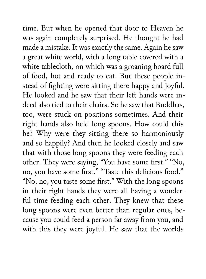time. But when he opened that door to Heaven he was again completely surprised. He thought he had made a mistake. It was exactly the same. Again he saw a great white world, with a long table covered with a white tablecloth, on which was a groaning board full of food, hot and ready to eat. But these people instead of fighting were sitting there happy and joyful. He looked and he saw that their left hands were indeed also tied to their chairs. So he saw that Buddhas, too, were stuck on positions sometimes. And their right hands also held long spoons. How could this be? Why were they sitting there so harmoniously and so happily? And then he looked closely and saw that with those long spoons they were feeding each other. They were saying, "You have some first." "No, no, you have some first." "Taste this delicious food." "No, no, you taste some first." With the long spoons in their right hands they were all having a wonderful time feeding each other. They knew that these long spoons were even better than regular ones, because you could feed a person far away from you, and with this they were joyful. He saw that the worlds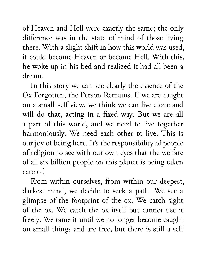of Heaven and Hell were exactly the same; the only difference was in the state of mind of those living there. With a slight shift in how this world was used, it could become Heaven or become Hell. With this, he woke up in his bed and realized it had all been a dream.

In this story we can see clearly the essence of the Ox Forgotten, the Person Remains. If we are caught on a small-self view, we think we can live alone and will do that, acting in a fixed way. But we are all a part of this world, and we need to live together harmoniously. We need each other to live. This is our joy of being here. It's the responsibility of people of religion to see with our own eyes that the welfare of all six billion people on this planet is being taken care of.

From within ourselves, from within our deepest, darkest mind, we decide to seek a path. We see a glimpse of the footprint of the ox. We catch sight of the ox. We catch the ox itself but cannot use it freely. We tame it until we no longer become caught on small things and are free, but there is still a self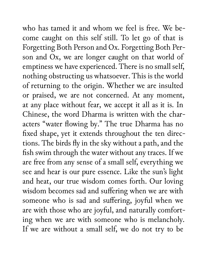who has tamed it and whom we feel is free. We become caught on this self still. To let go of that is Forgetting Both Person and Ox. Forgetting Both Person and Ox, we are longer caught on that world of emptiness we have experienced. There is no small self, nothing obstructing us whatsoever. This is the world of returning to the origin. Whether we are insulted or praised, we are not concerned. At any moment, at any place without fear, we accept it all as it is. In Chinese, the word Dharma is written with the characters "water flowing by." The true Dharma has no fixed shape, yet it extends throughout the ten directions. The birds fly in the sky without a path, and the fish swim through the water without any traces. If we are free from any sense of a small self, everything we see and hear is our pure essence. Like the sun's light and heat, our true wisdom comes forth. Our loving wisdom becomes sad and suffering when we are with someone who is sad and suffering, joyful when we are with those who are joyful, and naturally comforting when we are with someone who is melancholy. If we are without a small self, we do not try to be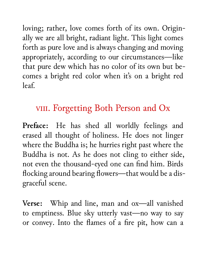loving; rather, love comes forth of its own. Originally we are all bright, radiant light. This light comes forth as pure love and is always changing and moving appropriately, according to our circumstances—like that pure dew which has no color of its own but becomes a bright red color when it's on a bright red leaf.

## viii. Forgetting Both Person and Ox

**Preface:** He has shed all worldly feelings and erased all thought of holiness. He does not linger where the Buddha is; he hurries right past where the Buddha is not. As he does not cling to either side, not even the thousand-eyed one can find him. Birds flocking around bearing flowers—that would be a disgraceful scene.

**Verse:** Whip and line, man and ox—all vanished to emptiness. Blue sky utterly vast—no way to say or convey. Into the flames of a fire pit, how can a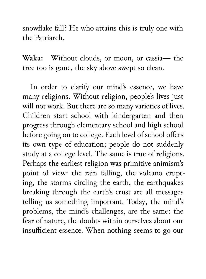snowflake fall? He who attains this is truly one with the Patriarch.

**Waka:** Without clouds, or moon, or cassia— the tree too is gone, the sky above swept so clean.

In order to clarify our mind's essence, we have many religions. Without religion, people's lives just will not work. But there are so many varieties of lives. Children start school with kindergarten and then progress through elementary school and high school before going on to college. Each level of school offers its own type of education; people do not suddenly study at a college level. The same is true of religions. Perhaps the earliest religion was primitive animism's point of view: the rain falling, the volcano erupting, the storms circling the earth, the earthquakes breaking through the earth's crust are all messages telling us something important. Today, the mind's problems, the mind's challenges, are the same: the fear of nature, the doubts within ourselves about our insufficient essence. When nothing seems to go our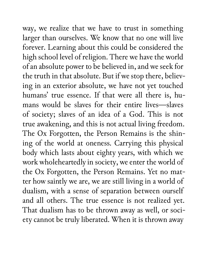way, we realize that we have to trust in something larger than ourselves. We know that no one will live forever. Learning about this could be considered the high school level of religion. There we have the world of an absolute power to be believed in, and we seek for the truth in that absolute. But if we stop there, believing in an exterior absolute, we have not yet touched humans' true essence. If that were all there is, humans would be slaves for their entire lives—slaves of society; slaves of an idea of a God. This is not true awakening, and this is not actual living freedom. The Ox Forgotten, the Person Remains is the shining of the world at oneness. Carrying this physical body which lasts about eighty years, with which we work wholeheartedly in society, we enter the world of the Ox Forgotten, the Person Remains. Yet no matter how saintly we are, we are still living in a world of dualism, with a sense of separation between ourself and all others. The true essence is not realized yet. That dualism has to be thrown away as well, or society cannot be truly liberated. When it is thrown away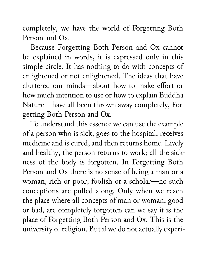completely, we have the world of Forgetting Both Person and Ox.

Because Forgetting Both Person and Ox cannot be explained in words, it is expressed only in this simple circle. It has nothing to do with concepts of enlightened or not enlightened. The ideas that have cluttered our minds—about how to make effort or how much intention to use or how to explain Buddha Nature—have all been thrown away completely, Forgetting Both Person and Ox.

To understand this essence we can use the example of a person who is sick, goes to the hospital, receives medicine and is cured, and then returns home. Lively and healthy, the person returns to work; all the sickness of the body is forgotten. In Forgetting Both Person and Ox there is no sense of being a man or a woman, rich or poor, foolish or a scholar—no such conceptions are pulled along. Only when we reach the place where all concepts of man or woman, good or bad, are completely forgotten can we say it is the place of Forgetting Both Person and Ox. This is the university of religion. But if we do not actually experi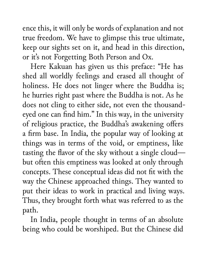ence this, it will only be words of explanation and not true freedom. We have to glimpse this true ultimate, keep our sights set on it, and head in this direction, or it's not Forgetting Both Person and Ox.

Here Kakuan has given us this preface: "He has shed all worldly feelings and erased all thought of holiness. He does not linger where the Buddha is; he hurries right past where the Buddha is not. As he does not cling to either side, not even the thousandeyed one can find him." In this way, in the university of religious practice, the Buddha's awakening offers a firm base. In India, the popular way of looking at things was in terms of the void, or emptiness, like tasting the flavor of the sky without a single cloud but often this emptiness was looked at only through concepts. These conceptual ideas did not fit with the way the Chinese approached things. They wanted to put their ideas to work in practical and living ways. Thus, they brought forth what was referred to as the path.

In India, people thought in terms of an absolute being who could be worshiped. But the Chinese did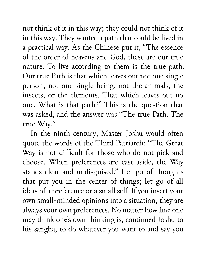not think of it in this way; they could not think of it in this way. They wanted a path that could be lived in a practical way. As the Chinese put it, "The essence of the order of heavens and God, these are our true nature. To live according to them is the true path. Our true Path is that which leaves out not one single person, not one single being, not the animals, the insects, or the elements. That which leaves out no one. What is that path?" This is the question that was asked, and the answer was "The true Path. The true Way."

In the ninth century, Master Joshu would often quote the words of the Third Patriarch: "The Great Way is not difficult for those who do not pick and choose. When preferences are cast aside, the Way stands clear and undisguised." Let go of thoughts that put you in the center of things; let go of all ideas of a preference or a small self. If you insert your own small-minded opinions into a situation, they are always your own preferences. No matter how fine one may think one's own thinking is, continued Joshu to his sangha, to do whatever you want to and say you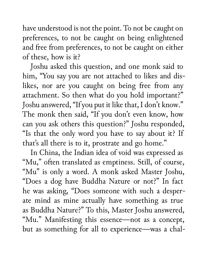have understood is not the point. To not be caught on preferences, to not be caught on being enlightened and free from preferences, to not be caught on either of these, how is it?

Joshu asked this question, and one monk said to him, "You say you are not attached to likes and dislikes, nor are you caught on being free from any attachment. So then what do you hold important?" Joshu answered, "If you put it like that, I don't know." The monk then said, "If you don't even know, how can you ask others this question?" Joshu responded, "Is that the only word you have to say about it? If that's all there is to it, prostrate and go home."

In China, the Indian idea of void was expressed as "Mu," often translated as emptiness. Still, of course, "Mu" is only a word. A monk asked Master Joshu, "Does a dog have Buddha Nature or not?" In fact he was asking, "Does someone with such a desperate mind as mine actually have something as true as Buddha Nature?" To this, Master Joshu answered, "Mu." Manifesting this essence—not as a concept, but as something for all to experience—was a chal-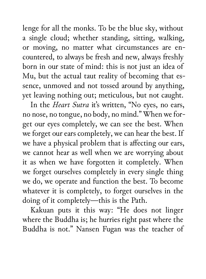lenge for all the monks. To be the blue sky, without a single cloud; whether standing, sitting, walking, or moving, no matter what circumstances are encountered, to always be fresh and new, always freshly born in our state of mind: this is not just an idea of Mu, but the actual taut reality of becoming that essence, unmoved and not tossed around by anything, yet leaving nothing out; meticulous, but not caught.

In the *Heart Sutra* it's written, "No eyes, no ears, no nose, no tongue, no body, no mind." When we forget our eyes completely, we can see the best. When we forget our ears completely, we can hear the best. If we have a physical problem that is affecting our ears, we cannot hear as well when we are worrying about it as when we have forgotten it completely. When we forget ourselves completely in every single thing we do, we operate and function the best. To become whatever it is completely, to forget ourselves in the doing of it completely—this is the Path.

Kakuan puts it this way: "He does not linger where the Buddha is; he hurries right past where the Buddha is not." Nansen Fugan was the teacher of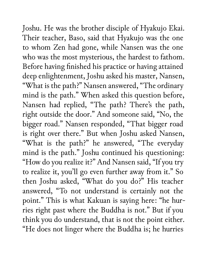Joshu. He was the brother disciple of Hyakujo Ekai. Their teacher, Baso, said that Hyakujo was the one to whom Zen had gone, while Nansen was the one who was the most mysterious, the hardest to fathom. Before having finished his practice or having attained deep enlightenment, Joshu asked his master, Nansen, "What is the path?" Nansen answered, "The ordinary mind is the path." When asked this question before, Nansen had replied, "The path? There's the path, right outside the door." And someone said, "No, the bigger road." Nansen responded, "That bigger road is right over there." But when Joshu asked Nansen, "What is the path?" he answered, "The everyday mind is the path." Joshu continued his questioning: "How do you realize it?" And Nansen said, "If you try to realize it, you'll go even further away from it." So then Joshu asked, "What do you do?" His teacher answered, "To not understand is certainly not the point." This is what Kakuan is saying here: "he hurries right past where the Buddha is not." But if you think you do understand, that is not the point either. "He does not linger where the Buddha is; he hurries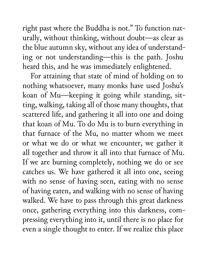right past where the Buddha is not." To function naturally, without thinking, without doubt—as clear as the blue autumn sky, without any idea of understanding or not understanding—this is the path. Joshu heard this, and he was immediately enlightened.

For attaining that state of mind of holding on to nothing whatsoever, many monks have used Joshu's koan of Mu—keeping it going while standing, sitting, walking, taking all of those many thoughts, that scattered life, and gathering it all into one and doing that koan of Mu. To do Mu is to burn everything in that furnace of the Mu, no matter whom we meet or what we do or what we encounter, we gather it all together and throw it all into that furnace of Mu. If we are burning completely, nothing we do or see catches us. We have gathered it all into one, seeing with no sense of having seen, eating with no sense of having eaten, and walking with no sense of having walked. We have to pass through this great darkness once, gathering everything into this darkness, compressing everything into it, until there is no place for even a single thought to enter. If we realize this place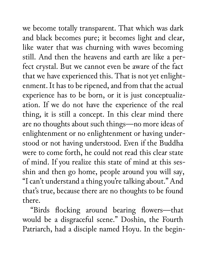we become totally transparent. That which was dark and black becomes pure; it becomes light and clear, like water that was churning with waves becoming still. And then the heavens and earth are like a perfect crystal. But we cannot even be aware of the fact that we have experienced this. That is not yet enlightenment. It has to be ripened, and from that the actual experience has to be born, or it is just conceptualization. If we do not have the experience of the real thing, it is still a concept. In this clear mind there are no thoughts about such things—no more ideas of enlightenment or no enlightenment or having understood or not having understood. Even if the Buddha were to come forth, he could not read this clear state of mind. If you realize this state of mind at this sesshin and then go home, people around you will say, "I can't understand a thing you're talking about." And that's true, because there are no thoughts to be found there.

"Birds flocking around bearing flowers—that would be a disgraceful scene." Doshin, the Fourth Patriarch, had a disciple named Hoyu. In the begin-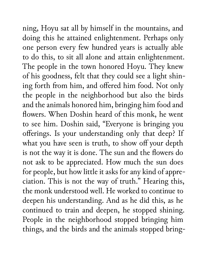ning, Hoyu sat all by himself in the mountains, and doing this he attained enlightenment. Perhaps only one person every few hundred years is actually able to do this, to sit all alone and attain enlightenment. The people in the town honored Hoyu. They knew of his goodness, felt that they could see a light shining forth from him, and offered him food. Not only the people in the neighborhood but also the birds and the animals honored him, bringing him food and flowers. When Doshin heard of this monk, he went to see him. Doshin said, "Everyone is bringing you offerings. Is your understanding only that deep? If what you have seen is truth, to show off your depth is not the way it is done. The sun and the flowers do not ask to be appreciated. How much the sun does for people, but how little it asks for any kind of appreciation. This is not the way of truth." Hearing this, the monk understood well. He worked to continue to deepen his understanding. And as he did this, as he continued to train and deepen, he stopped shining. People in the neighborhood stopped bringing him things, and the birds and the animals stopped bring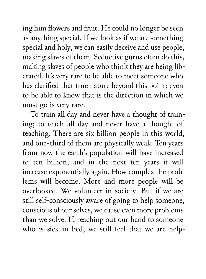ing him flowers and fruit. He could no longer be seen as anything special. If we look as if we are something special and holy, we can easily deceive and use people, making slaves of them. Seductive gurus often do this, making slaves of people who think they are being liberated. It's very rare to be able to meet someone who has clarified that true nature beyond this point; even to be able to know that is the direction in which we must go is very rare.

To train all day and never have a thought of training; to teach all day and never have a thought of teaching. There are six billion people in this world, and one-third of them are physically weak. Ten years from now the earth's population will have increased to ten billion, and in the next ten years it will increase exponentially again. How complex the problems will become. More and more people will be overlooked. We volunteer in society. But if we are still self-consciously aware of going to help someone, conscious of our selves, we cause even more problems than we solve. If, reaching out our hand to someone who is sick in bed, we still feel that we are help-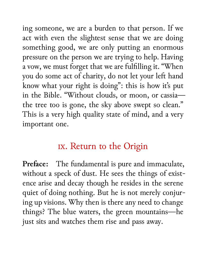ing someone, we are a burden to that person. If we act with even the slightest sense that we are doing something good, we are only putting an enormous pressure on the person we are trying to help. Having a vow, we must forget that we are fulfilling it. "When you do some act of charity, do not let your left hand know what your right is doing": this is how it's put in the Bible. "Without clouds, or moon, or cassia the tree too is gone, the sky above swept so clean." This is a very high quality state of mind, and a very important one.

## ix. Return to the Origin

**Preface:** The fundamental is pure and immaculate, without a speck of dust. He sees the things of existence arise and decay though he resides in the serene quiet of doing nothing. But he is not merely conjuring up visions. Why then is there any need to change things? The blue waters, the green mountains—he just sits and watches them rise and pass away.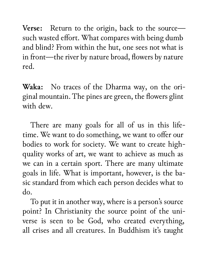**Verse:** Return to the origin, back to the source such wasted effort. What compares with being dumb and blind? From within the hut, one sees not what is in front—the river by nature broad, flowers by nature red.

**Waka:** No traces of the Dharma way, on the original mountain. The pines are green, the flowers glint with dew.

There are many goals for all of us in this lifetime. We want to do something, we want to offer our bodies to work for society. We want to create highquality works of art, we want to achieve as much as we can in a certain sport. There are many ultimate goals in life. What is important, however, is the basic standard from which each person decides what to do.

To put it in another way, where is a person's source point? In Christianity the source point of the universe is seen to be God, who created everything, all crises and all creatures. In Buddhism it's taught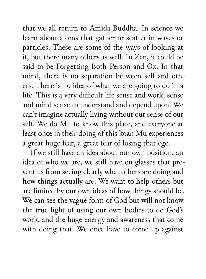that we all return to Amida Buddha. In science we learn about atoms that gather or scatter in waves or particles. These are some of the ways of looking at it, but there many others as well. In Zen, it could be said to be Forgetting Both Person and Ox. In that mind, there is no separation between self and others. There is no idea of what we are going to do in a life. This is a very difficult life sense and world sense and mind sense to understand and depend upon. We can't imagine actually living without our sense of our self. We do Mu to know this place, and everyone at least once in their doing of this koan Mu experiences a great huge fear, a great fear of losing that ego.

If we still have an idea about our own position, an idea of who we are, we still have on glasses that prevent us from seeing clearly what others are doing and how things actually are. We want to help others but are limited by our own ideas of how things should be. We can see the vague form of God but will not know the true light of using our own bodies to do God's work, and the huge energy and awareness that come with doing that. We once have to come up against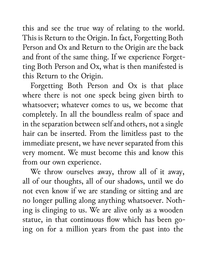this and see the true way of relating to the world. This is Return to the Origin. In fact, Forgetting Both Person and Ox and Return to the Origin are the back and front of the same thing. If we experience Forgetting Both Person and Ox, what is then manifested is this Return to the Origin.

Forgetting Both Person and Ox is that place where there is not one speck being given birth to whatsoever; whatever comes to us, we become that completely. In all the boundless realm of space and in the separation between self and others, not a single hair can be inserted. From the limitless past to the immediate present, we have never separated from this very moment. We must become this and know this from our own experience.

We throw ourselves away, throw all of it away, all of our thoughts, all of our shadows, until we do not even know if we are standing or sitting and are no longer pulling along anything whatsoever. Nothing is clinging to us. We are alive only as a wooden statue, in that continuous flow which has been going on for a million years from the past into the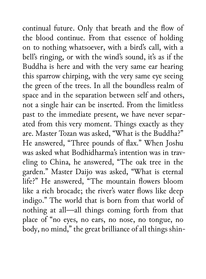continual future. Only that breath and the flow of the blood continue. From that essence of holding on to nothing whatsoever, with a bird's call, with a bell's ringing, or with the wind's sound, it's as if the Buddha is here and with the very same ear hearing this sparrow chirping, with the very same eye seeing the green of the trees. In all the boundless realm of space and in the separation between self and others, not a single hair can be inserted. From the limitless past to the immediate present, we have never separated from this very moment. Things exactly as they are. Master Tozan was asked, "What is the Buddha?" He answered, "Three pounds of flax." When Joshu was asked what Bodhidharma's intention was in traveling to China, he answered, "The oak tree in the garden." Master Daijo was asked, "What is eternal life?" He answered, "The mountain flowers bloom like a rich brocade; the river's water flows like deep indigo." The world that is born from that world of nothing at all—all things coming forth from that place of "no eyes, no ears, no nose, no tongue, no body, no mind," the great brilliance of all things shin-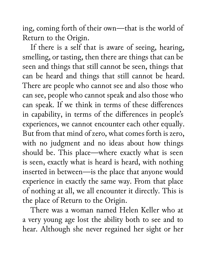ing, coming forth of their own—that is the world of Return to the Origin.

If there is a self that is aware of seeing, hearing, smelling, or tasting, then there are things that can be seen and things that still cannot be seen, things that can be heard and things that still cannot be heard. There are people who cannot see and also those who can see, people who cannot speak and also those who can speak. If we think in terms of these differences in capability, in terms of the differences in people's experiences, we cannot encounter each other equally. But from that mind of zero, what comes forth is zero, with no judgment and no ideas about how things should be. This place—where exactly what is seen is seen, exactly what is heard is heard, with nothing inserted in between—is the place that anyone would experience in exactly the same way. From that place of nothing at all, we all encounter it directly. This is the place of Return to the Origin.

There was a woman named Helen Keller who at a very young age lost the ability both to see and to hear. Although she never regained her sight or her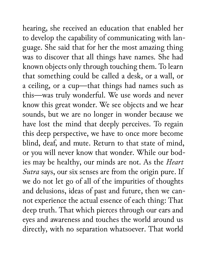hearing, she received an education that enabled her to develop the capability of communicating with language. She said that for her the most amazing thing was to discover that all things have names. She had known objects only through touching them. To learn that something could be called a desk, or a wall, or a ceiling, or a cup—that things had names such as this—was truly wonderful. We use words and never know this great wonder. We see objects and we hear sounds, but we are no longer in wonder because we have lost the mind that deeply perceives. To regain this deep perspective, we have to once more become blind, deaf, and mute. Return to that state of mind, or you will never know that wonder. While our bodies may be healthy, our minds are not. As the *Heart Sutra* says, our six senses are from the origin pure. If we do not let go of all of the impurities of thoughts and delusions, ideas of past and future, then we cannot experience the actual essence of each thing: That deep truth. That which pierces through our ears and eyes and awareness and touches the world around us directly, with no separation whatsoever. That world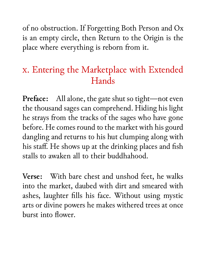of no obstruction. If Forgetting Both Person and Ox is an empty circle, then Return to the Origin is the place where everything is reborn from it.

## x. Entering the Marketplace with Extended Hands

**Preface:** All alone, the gate shut so tight—not even the thousand sages can comprehend. Hiding his light he strays from the tracks of the sages who have gone before. He comes round to the market with his gourd dangling and returns to his hut clumping along with his staff. He shows up at the drinking places and fish stalls to awaken all to their buddhahood.

**Verse:** With bare chest and unshod feet, he walks into the market, daubed with dirt and smeared with ashes, laughter fills his face. Without using mystic arts or divine powers he makes withered trees at once burst into flower.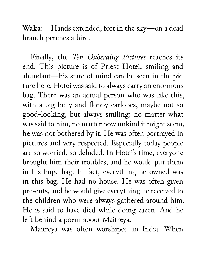**Waka:** Hands extended, feet in the sky—on a dead branch perches a bird.

Finally, the *Ten Oxherding Pictures* reaches its end. This picture is of Priest Hotei, smiling and abundant—his state of mind can be seen in the picture here. Hotei was said to always carry an enormous bag. There was an actual person who was like this, with a big belly and floppy earlobes, maybe not so good-looking, but always smiling; no matter what was said to him, no matter how unkind it might seem, he was not bothered by it. He was often portrayed in pictures and very respected. Especially today people are so worried, so deluded. In Hotei's time, everyone brought him their troubles, and he would put them in his huge bag. In fact, everything he owned was in this bag. He had no house. He was often given presents, and he would give everything he received to the children who were always gathered around him. He is said to have died while doing zazen. And he left behind a poem about Maitreya.

Maitreya was often worshiped in India. When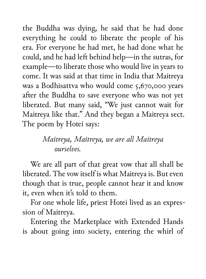the Buddha was dying, he said that he had done everything he could to liberate the people of his era. For everyone he had met, he had done what he could, and he had left behind help—in the sutras, for example—to liberate those who would live in years to come. It was said at that time in India that Maitreya was a Bodhisattva who would come 5,670,000 years after the Buddha to save everyone who was not yet liberated. But many said, "We just cannot wait for Maitreya like that." And they began a Maitreya sect. The poem by Hotei says:

## *Maitreya, Maitreya, we are all Maitreya ourselves.*

We are all part of that great vow that all shall be liberated. The vow itself is what Maitreya is. But even though that is true, people cannot hear it and know it, even when it's told to them.

For one whole life, priest Hotei lived as an expression of Maitreya.

Entering the Marketplace with Extended Hands is about going into society, entering the whirl of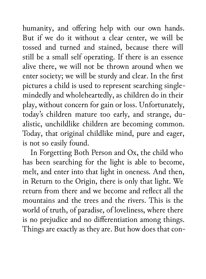humanity, and offering help with our own hands. But if we do it without a clear center, we will be tossed and turned and stained, because there will still be a small self operating. If there is an essence alive there, we will not be thrown around when we enter society; we will be sturdy and clear. In the first pictures a child is used to represent searching singlemindedly and wholeheartedly, as children do in their play, without concern for gain or loss. Unfortunately, today's children mature too early, and strange, dualistic, unchildlike children are becoming common. Today, that original childlike mind, pure and eager, is not so easily found.

In Forgetting Both Person and Ox, the child who has been searching for the light is able to become, melt, and enter into that light in oneness. And then, in Return to the Origin, there is only that light. We return from there and we become and reflect all the mountains and the trees and the rivers. This is the world of truth, of paradise, of loveliness, where there is no prejudice and no differentiation among things. Things are exactly as they are. But how does that con-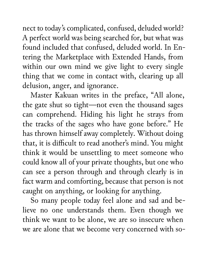nect to today's complicated, confused, deluded world? A perfect world was being searched for, but what was found included that confused, deluded world. In Entering the Marketplace with Extended Hands, from within our own mind we give light to every single thing that we come in contact with, clearing up all delusion, anger, and ignorance.

Master Kakuan writes in the preface, "All alone, the gate shut so tight—not even the thousand sages can comprehend. Hiding his light he strays from the tracks of the sages who have gone before." He has thrown himself away completely. Without doing that, it is difficult to read another's mind. You might think it would be unsettling to meet someone who could know all of your private thoughts, but one who can see a person through and through clearly is in fact warm and comforting, because that person is not caught on anything, or looking for anything.

So many people today feel alone and sad and believe no one understands them. Even though we think we want to be alone, we are so insecure when we are alone that we become very concerned with so-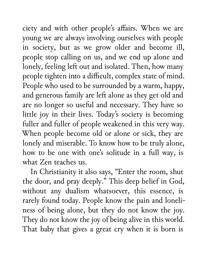ciety and with other people's affairs. When we are young we are always involving ourselves with people in society, but as we grow older and become ill, people stop calling on us, and we end up alone and lonely, feeling left out and isolated. Then, how many people tighten into a difficult, complex state of mind. People who used to be surrounded by a warm, happy, and generous family are left alone as they get old and are no longer so useful and necessary. They have so little joy in their lives. Today's society is becoming fuller and fuller of people weakened in this very way. When people become old or alone or sick, they are lonely and miserable. To know how to be truly alone, how to be one with one's solitude in a full way, is what Zen teaches us.

In Christianity it also says, "Enter the room, shut the door, and pray deeply." This deep belief in God, without any dualism whatsoever, this essence, is rarely found today. People know the pain and loneliness of being alone, but they do not know the joy. They do not know the joy of being alive in this world. That baby that gives a great cry when it is born is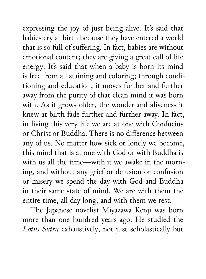expressing the joy of just being alive. It's said that babies cry at birth because they have entered a world that is so full of suffering. In fact, babies are without emotional content; they are giving a great call of life energy. It's said that when a baby is born its mind is free from all staining and coloring; through conditioning and education, it moves further and further away from the purity of that clean mind it was born with. As it grows older, the wonder and aliveness it knew at birth fade further and further away. In fact, in living this very life we are at one with Confucius or Christ or Buddha. There is no difference between any of us. No matter how sick or lonely we become, this mind that is at one with God or with Buddha is with us all the time—with it we awake in the morning, and without any grief or delusion or confusion or misery we spend the day with God and Buddha in their same state of mind. We are with them the entire time, all day long, and with them we rest.

The Japanese novelist Miyazawa Kenji was born more than one hundred years ago. He studied the *Lotus Sutra* exhaustively, not just scholastically but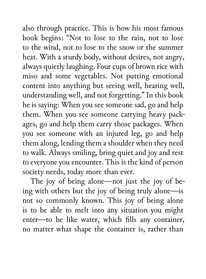also through practice. This is how his most famous book begins: "Not to lose to the rain, not to lose to the wind, not to lose to the snow or the summer heat. With a sturdy body, without desires, not angry, always quietly laughing. Four cups of brown rice with miso and some vegetables. Not putting emotional content into anything but seeing well, hearing well, understanding well, and not forgetting." In this book he is saying: When you see someone sad, go and help them. When you see someone carrying heavy packages, go and help them carry those packages. When you see someone with an injured leg, go and help them along, lending them a shoulder when they need to walk. Always smiling, bring quiet and joy and rest to everyone you encounter. This is the kind of person society needs, today more than ever.

The joy of being alone—not just the joy of being with others but the joy of being truly alone—is not so commonly known. This joy of being alone is to be able to melt into any situation you might enter—to be like water, which fills any container, no matter what shape the container is, rather than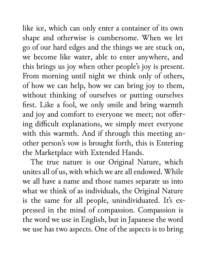like ice, which can only enter a container of its own shape and otherwise is cumbersome. When we let go of our hard edges and the things we are stuck on, we become like water, able to enter anywhere, and this brings us joy when other people's joy is present. From morning until night we think only of others, of how we can help, how we can bring joy to them, without thinking of ourselves or putting ourselves first. Like a fool, we only smile and bring warmth and joy and comfort to everyone we meet; not offering difficult explanations, we simply meet everyone with this warmth. And if through this meeting another person's vow is brought forth, this is Entering the Marketplace with Extended Hands.

The true nature is our Original Nature, which unites all of us, with which we are all endowed. While we all have a name and those names separate us into what we think of as individuals, the Original Nature is the same for all people, unindividuated. It's expressed in the mind of compassion. Compassion is the word we use in English, but in Japanese the word we use has two aspects. One of the aspects is to bring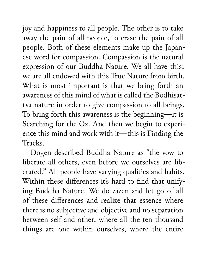joy and happiness to all people. The other is to take away the pain of all people, to erase the pain of all people. Both of these elements make up the Japanese word for compassion. Compassion is the natural expression of our Buddha Nature. We all have this; we are all endowed with this True Nature from birth. What is most important is that we bring forth an awareness of this mind of what is called the Bodhisattva nature in order to give compassion to all beings. To bring forth this awareness is the beginning—it is Searching for the Ox. And then we begin to experience this mind and work with it—this is Finding the **Tracks** 

Dogen described Buddha Nature as "the vow to liberate all others, even before we ourselves are liberated." All people have varying qualities and habits. Within these differences it's hard to find that unifying Buddha Nature. We do zazen and let go of all of these differences and realize that essence where there is no subjective and objective and no separation between self and other, where all the ten thousand things are one within ourselves, where the entire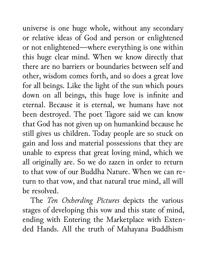universe is one huge whole, without any secondary or relative ideas of God and person or enlightened or not enlightened—where everything is one within this huge clear mind. When we know directly that there are no barriers or boundaries between self and other, wisdom comes forth, and so does a great love for all beings. Like the light of the sun which pours down on all beings, this huge love is infinite and eternal. Because it is eternal, we humans have not been destroyed. The poet Tagore said we can know that God has not given up on humankind because he still gives us children. Today people are so stuck on gain and loss and material possessions that they are unable to express that great loving mind, which we all originally are. So we do zazen in order to return to that vow of our Buddha Nature. When we can return to that vow, and that natural true mind, all will be resolved.

The *Ten Oxherding Pictures* depicts the various stages of developing this vow and this state of mind, ending with Entering the Marketplace with Extended Hands. All the truth of Mahayana Buddhism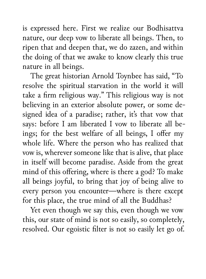is expressed here. First we realize our Bodhisattva nature, our deep vow to liberate all beings. Then, to ripen that and deepen that, we do zazen, and within the doing of that we awake to know clearly this true nature in all beings.

The great historian Arnold Toynbee has said, "To resolve the spiritual starvation in the world it will take a firm religious way." This religious way is not believing in an exterior absolute power, or some designed idea of a paradise; rather, it's that vow that says: before I am liberated I vow to liberate all beings; for the best welfare of all beings, I offer my whole life. Where the person who has realized that vow is, wherever someone like that is alive, that place in itself will become paradise. Aside from the great mind of this offering, where is there a god? To make all beings joyful, to bring that joy of being alive to every person you encounter—where is there except for this place, the true mind of all the Buddhas?

Yet even though we say this, even though we vow this, our state of mind is not so easily, so completely, resolved. Our egoistic filter is not so easily let go of.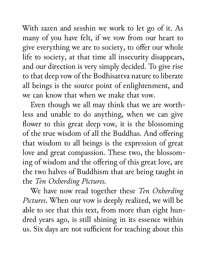With zazen and sesshin we work to let go of it. As many of you have felt, if we vow from our heart to give everything we are to society, to offer our whole life to society, at that time all insecurity disappears, and our direction is very simply decided. To give rise to that deep vow of the Bodhisattva nature to liberate all beings is the source point of enlightenment, and we can know that when we make that vow.

Even though we all may think that we are worthless and unable to do anything, when we can give flower to this great deep vow, it is the blossoming of the true wisdom of all the Buddhas. And offering that wisdom to all beings is the expression of great love and great compassion. These two, the blossoming of wisdom and the offering of this great love, are the two halves of Buddhism that are being taught in the *Ten Oxherding Pictures*.

We have now read together these *Ten Oxherding Pictures*. When our vow is deeply realized, we will be able to see that this text, from more than eight hundred years ago, is still shining in its essence within us. Six days are not sufficient for teaching about this